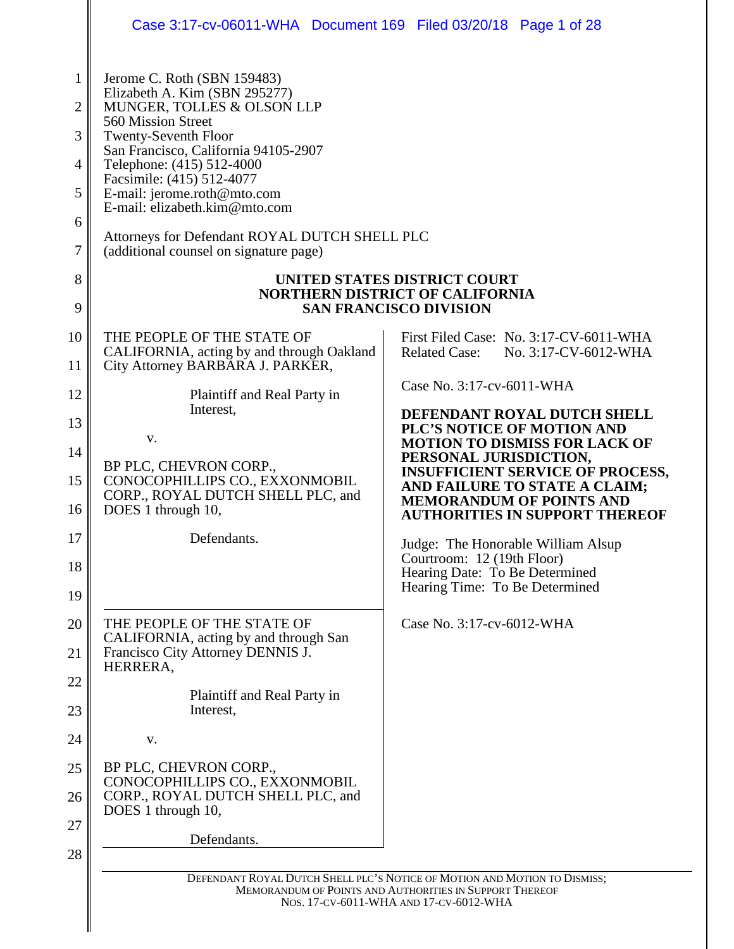|                                                                                                                | Case 3:17-cv-06011-WHA Document 169 Filed 03/20/18 Page 1 of 28                                                                                                                                                                                                                                                                                                                                                                                                                                                                                                                                                     |                                                                                                                                                                                                                                                                                                                                                                                                                                                                                                                                                                                 |
|----------------------------------------------------------------------------------------------------------------|---------------------------------------------------------------------------------------------------------------------------------------------------------------------------------------------------------------------------------------------------------------------------------------------------------------------------------------------------------------------------------------------------------------------------------------------------------------------------------------------------------------------------------------------------------------------------------------------------------------------|---------------------------------------------------------------------------------------------------------------------------------------------------------------------------------------------------------------------------------------------------------------------------------------------------------------------------------------------------------------------------------------------------------------------------------------------------------------------------------------------------------------------------------------------------------------------------------|
| $\mathbf{1}$<br>$\overline{2}$<br>3<br>$\overline{4}$<br>5<br>6<br>7<br>8<br>9                                 | Jerome C. Roth (SBN 159483)<br>Elizabeth A. Kim (SBN 295277)<br>MUNGER, TOLLES & OLSON LLP<br>560 Mission Street<br><b>Twenty-Seventh Floor</b><br>San Francisco, California 94105-2907<br>Telephone: (415) 512-4000<br>Facsimile: (415) 512-4077<br>E-mail: jerome.roth@mto.com<br>E-mail: elizabeth.kim@mto.com<br>Attorneys for Defendant ROYAL DUTCH SHELL PLC<br>(additional counsel on signature page)                                                                                                                                                                                                        | UNITED STATES DISTRICT COURT<br><b>NORTHERN DISTRICT OF CALIFORNIA</b><br><b>SAN FRANCISCO DIVISION</b>                                                                                                                                                                                                                                                                                                                                                                                                                                                                         |
| 10<br>11<br>12<br>13<br>14<br>15<br>16<br>17<br>18<br>19<br>20<br>21<br>22<br>23<br>24<br>25<br>26<br>27<br>28 | THE PEOPLE OF THE STATE OF<br>CALIFORNIA, acting by and through Oakland<br>City Attorney BARBARA J. PARKER,<br>Plaintiff and Real Party in<br>Interest,<br>V.<br>BP PLC, CHEVRON CORP.,<br>CONOCOPHILLIPS CO., EXXONMOBIL<br>CORP., ROYAL DUTCH SHELL PLC, and<br>DOES 1 through 10,<br>Defendants.<br>THE PEOPLE OF THE STATE OF<br>CALIFORNIA, acting by and through San<br>Francisco City Attorney DENNIS J.<br>HERRERA,<br>Plaintiff and Real Party in<br>Interest,<br>V.<br>BP PLC, CHEVRON CORP.,<br>CONOCOPHILLIPS CO., EXXONMOBIL<br>CORP., ROYAL DUTCH SHELL PLC, and<br>DOES 1 through 10,<br>Defendants. | First Filed Case: No. 3:17-CV-6011-WHA<br><b>Related Case:</b><br>No. 3:17-CV-6012-WHA<br>Case No. 3:17-cv-6011-WHA<br>DEFENDANT ROYAL DUTCH SHELL<br>PLC'S NOTICE OF MOTION AND<br><b>MOTION TO DISMISS FOR LACK OF</b><br>PERSONAL JURISDICTION,<br><b>INSUFFICIENT SERVICE OF PROCESS,</b><br>AND FAILURE TO STATE A CLAIM;<br><b>MEMORANDUM OF POINTS AND</b><br><b>AUTHORITIES IN SUPPORT THEREOF</b><br>Judge: The Honorable William Alsup<br>Courtroom: 12 (19th Floor)<br>Hearing Date: To Be Determined<br>Hearing Time: To Be Determined<br>Case No. 3:17-cv-6012-WHA |
|                                                                                                                |                                                                                                                                                                                                                                                                                                                                                                                                                                                                                                                                                                                                                     | DEFENDANT ROYAL DUTCH SHELL PLC'S NOTICE OF MOTION AND MOTION TO DISMISS;<br>MEMORANDUM OF POINTS AND AUTHORITIES IN SUPPORT THEREOF<br>NOS. 17-CV-6011-WHA AND 17-CV-6012-WHA                                                                                                                                                                                                                                                                                                                                                                                                  |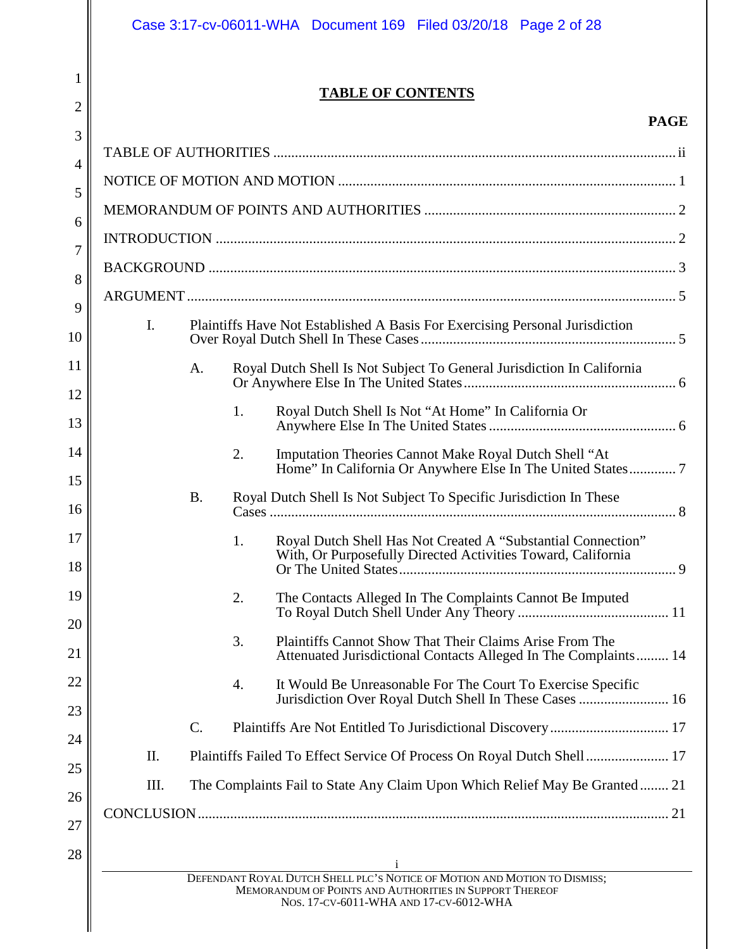1

2

# **TABLE OF CONTENTS**

# **PAGE**

| 3                    |                |                                                                                                                                                                                |  |
|----------------------|----------------|--------------------------------------------------------------------------------------------------------------------------------------------------------------------------------|--|
| $\overline{4}$       |                |                                                                                                                                                                                |  |
| 5                    |                |                                                                                                                                                                                |  |
| 6                    |                |                                                                                                                                                                                |  |
| 7                    |                |                                                                                                                                                                                |  |
| 8                    |                |                                                                                                                                                                                |  |
| 9                    |                |                                                                                                                                                                                |  |
| $\mathbf{I}$ .<br>10 |                | Plaintiffs Have Not Established A Basis For Exercising Personal Jurisdiction                                                                                                   |  |
| 11<br>12             | A.             | Royal Dutch Shell Is Not Subject To General Jurisdiction In California                                                                                                         |  |
|                      | 1.             | Royal Dutch Shell Is Not "At Home" In California Or                                                                                                                            |  |
|                      | 2.             | Imputation Theories Cannot Make Royal Dutch Shell "At                                                                                                                          |  |
|                      | <b>B.</b>      | Royal Dutch Shell Is Not Subject To Specific Jurisdiction In These                                                                                                             |  |
|                      | 1.             | Royal Dutch Shell Has Not Created A "Substantial Connection"<br>With, Or Purposefully Directed Activities Toward, California                                                   |  |
|                      | 2.             | The Contacts Alleged In The Complaints Cannot Be Imputed                                                                                                                       |  |
|                      | 3.             | Plaintiffs Cannot Show That Their Claims Arise From The<br>Attenuated Jurisdictional Contacts Alleged In The Complaints 14                                                     |  |
|                      | 4.             | It Would Be Unreasonable For The Court To Exercise Specific<br>Jurisdiction Over Royal Dutch Shell In These Cases  16                                                          |  |
|                      | $\mathbf{C}$ . |                                                                                                                                                                                |  |
| Π.                   |                | Plaintiffs Failed To Effect Service Of Process On Royal Dutch Shell 17                                                                                                         |  |
| III.                 |                | The Complaints Fail to State Any Claim Upon Which Relief May Be Granted 21                                                                                                     |  |
| 26                   |                |                                                                                                                                                                                |  |
| 27<br>28             |                |                                                                                                                                                                                |  |
|                      |                | DEFENDANT ROYAL DUTCH SHELL PLC'S NOTICE OF MOTION AND MOTION TO DISMISS;<br>MEMORANDUM OF POINTS AND AUTHORITIES IN SUPPORT THEREOF<br>NOS. 17-CV-6011-WHA AND 17-CV-6012-WHA |  |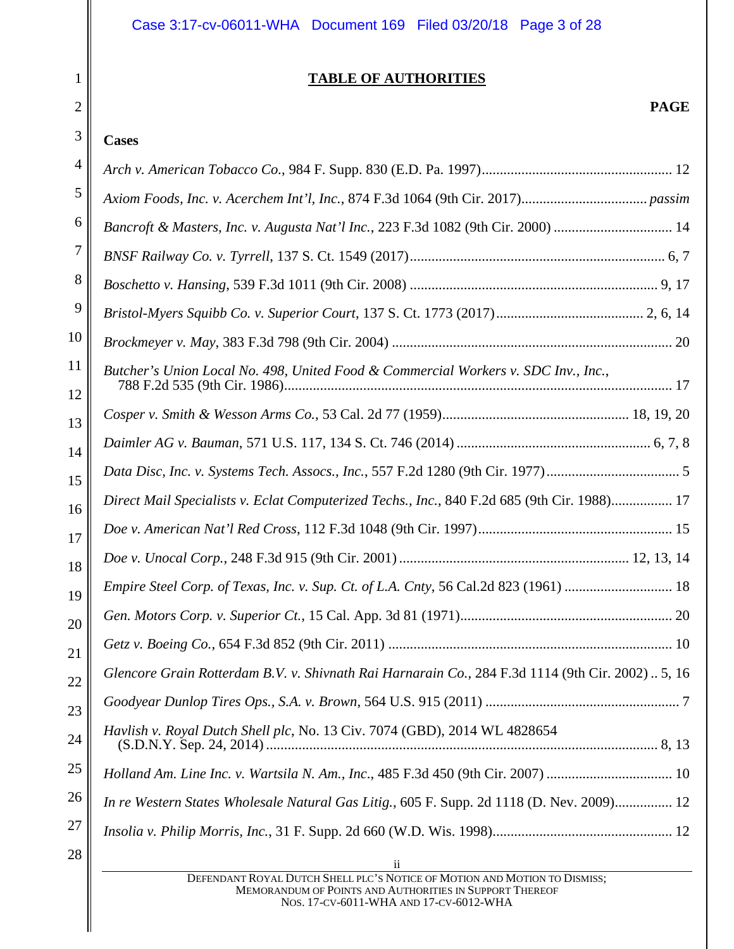# <span id="page-2-0"></span>**TABLE OF AUTHORITIES**

# **PAGE**

# **Cases**

1

2

| 4        |                                                                                                   |
|----------|---------------------------------------------------------------------------------------------------|
| 5        |                                                                                                   |
| 6        | Bancroft & Masters, Inc. v. Augusta Nat'l Inc., 223 F.3d 1082 (9th Cir. 2000)  14                 |
| 7        |                                                                                                   |
| 8        |                                                                                                   |
| 9        |                                                                                                   |
| 10       |                                                                                                   |
| 11<br>12 | Butcher's Union Local No. 498, United Food & Commercial Workers v. SDC Inv., Inc.,                |
| 13       |                                                                                                   |
| 14       |                                                                                                   |
| 15       |                                                                                                   |
| 16       | Direct Mail Specialists v. Eclat Computerized Techs., Inc., 840 F.2d 685 (9th Cir. 1988) 17       |
| 17       |                                                                                                   |
| 18       |                                                                                                   |
| 19       | Empire Steel Corp. of Texas, Inc. v. Sup. Ct. of L.A. Cnty, 56 Cal.2d 823 (1961)  18              |
| 20       |                                                                                                   |
| 21       |                                                                                                   |
| 22       | Glencore Grain Rotterdam B.V. v. Shivnath Rai Harnarain Co., 284 F.3d 1114 (9th Cir. 2002)  5, 16 |
| 23       |                                                                                                   |
| 24       | Havlish v. Royal Dutch Shell plc, No. 13 Civ. 7074 (GBD), 2014 WL 4828654                         |
| 25       | Holland Am. Line Inc. v. Wartsila N. Am., Inc., 485 F.3d 450 (9th Cir. 2007)  10                  |
| 26       | In re Western States Wholesale Natural Gas Litig., 605 F. Supp. 2d 1118 (D. Nev. 2009) 12         |
| 27       |                                                                                                   |
| 28       |                                                                                                   |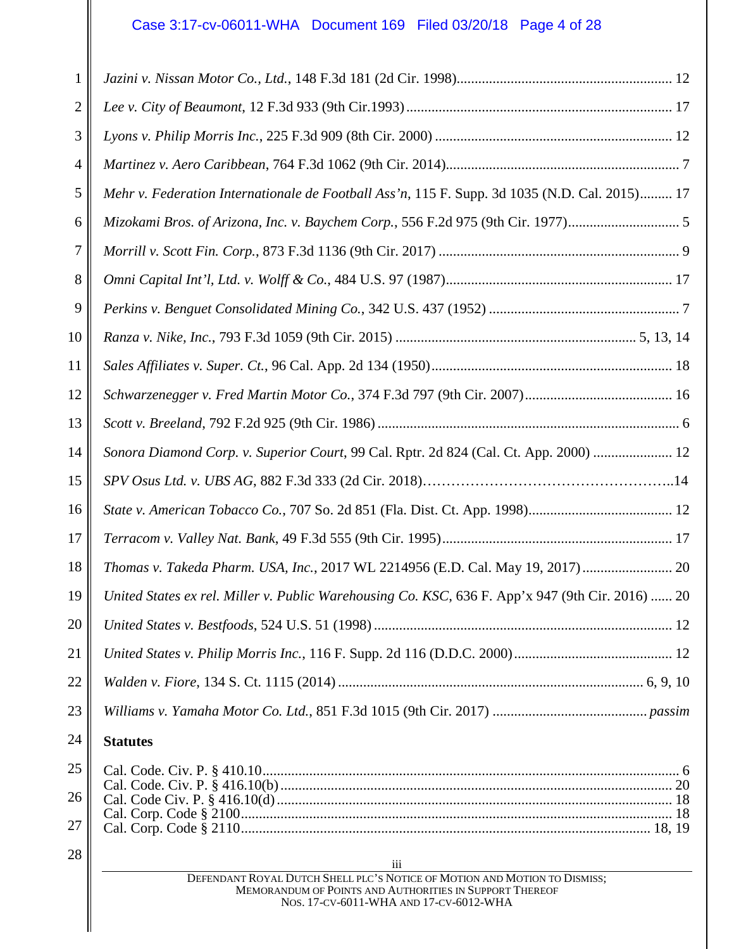# Case 3:17-cv-06011-WHA Document 169 Filed 03/20/18 Page 4 of 28

| $\mathbf{1}$   |                                                                                                                                                                                |
|----------------|--------------------------------------------------------------------------------------------------------------------------------------------------------------------------------|
| $\overline{2}$ |                                                                                                                                                                                |
| 3              |                                                                                                                                                                                |
| 4              |                                                                                                                                                                                |
| 5              | Mehr v. Federation Internationale de Football Ass'n, 115 F. Supp. 3d 1035 (N.D. Cal. 2015) 17                                                                                  |
| 6              | Mizokami Bros. of Arizona, Inc. v. Baychem Corp., 556 F.2d 975 (9th Cir. 1977)5                                                                                                |
| 7              |                                                                                                                                                                                |
| 8              |                                                                                                                                                                                |
| 9              |                                                                                                                                                                                |
| 10             |                                                                                                                                                                                |
| 11             |                                                                                                                                                                                |
| 12             |                                                                                                                                                                                |
| 13             |                                                                                                                                                                                |
| 14             | Sonora Diamond Corp. v. Superior Court, 99 Cal. Rptr. 2d 824 (Cal. Ct. App. 2000)  12                                                                                          |
| 15             |                                                                                                                                                                                |
| 16             |                                                                                                                                                                                |
| 17             |                                                                                                                                                                                |
| 18             | Thomas v. Takeda Pharm. USA, Inc., 2017 WL 2214956 (E.D. Cal. May 19, 2017) 20                                                                                                 |
| 19             | United States ex rel. Miller v. Public Warehousing Co. KSC, 636 F. App'x 947 (9th Cir. 2016)  20                                                                               |
| 20             |                                                                                                                                                                                |
| 21             |                                                                                                                                                                                |
| 22             |                                                                                                                                                                                |
| 23             |                                                                                                                                                                                |
| 24             | <b>Statutes</b>                                                                                                                                                                |
| 25             |                                                                                                                                                                                |
| 26             |                                                                                                                                                                                |
| 27             |                                                                                                                                                                                |
| 28             | iii                                                                                                                                                                            |
|                | DEFENDANT ROYAL DUTCH SHELL PLC'S NOTICE OF MOTION AND MOTION TO DISMISS;<br>MEMORANDUM OF POINTS AND AUTHORITIES IN SUPPORT THEREOF<br>NOS. 17-CV-6011-WHA AND 17-CV-6012-WHA |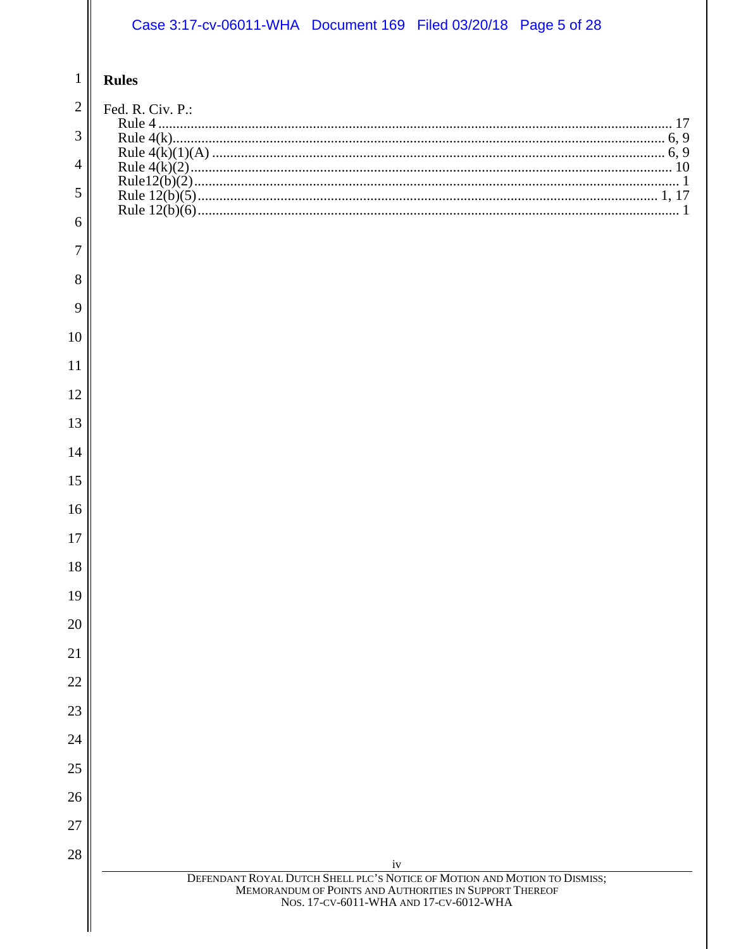# Case 3:17-cv-06011-WHA Document 169 Filed 03/20/18 Page 5 of 28

#### $\overline{1}$ **Rules**

| 2  | Fed. R. Civ. P.:                                                                                  |
|----|---------------------------------------------------------------------------------------------------|
| 3  |                                                                                                   |
|    |                                                                                                   |
| 4  |                                                                                                   |
| 5  |                                                                                                   |
| 6  |                                                                                                   |
| 7  |                                                                                                   |
| 8  |                                                                                                   |
| 9  |                                                                                                   |
| 10 |                                                                                                   |
| 11 |                                                                                                   |
| 12 |                                                                                                   |
| 13 |                                                                                                   |
| 14 |                                                                                                   |
| 15 |                                                                                                   |
| 16 |                                                                                                   |
| 17 |                                                                                                   |
| 18 |                                                                                                   |
| 19 |                                                                                                   |
| 20 |                                                                                                   |
| 21 |                                                                                                   |
| 22 |                                                                                                   |
| 23 |                                                                                                   |
| 24 |                                                                                                   |
| 25 |                                                                                                   |
| 26 |                                                                                                   |
| 27 |                                                                                                   |
| 28 | iv<br>DEFENDANT ROYAL DUTCH SHELL PLC'S NOTICE OF MOTION AND MOTION TO DISMISS;                   |
|    | MEMORANDUM OF POINTS AND AUTHORITIES IN SUPPORT THEREOF<br>NOS. 17-CV-6011-WHA AND 17-CV-6012-WHA |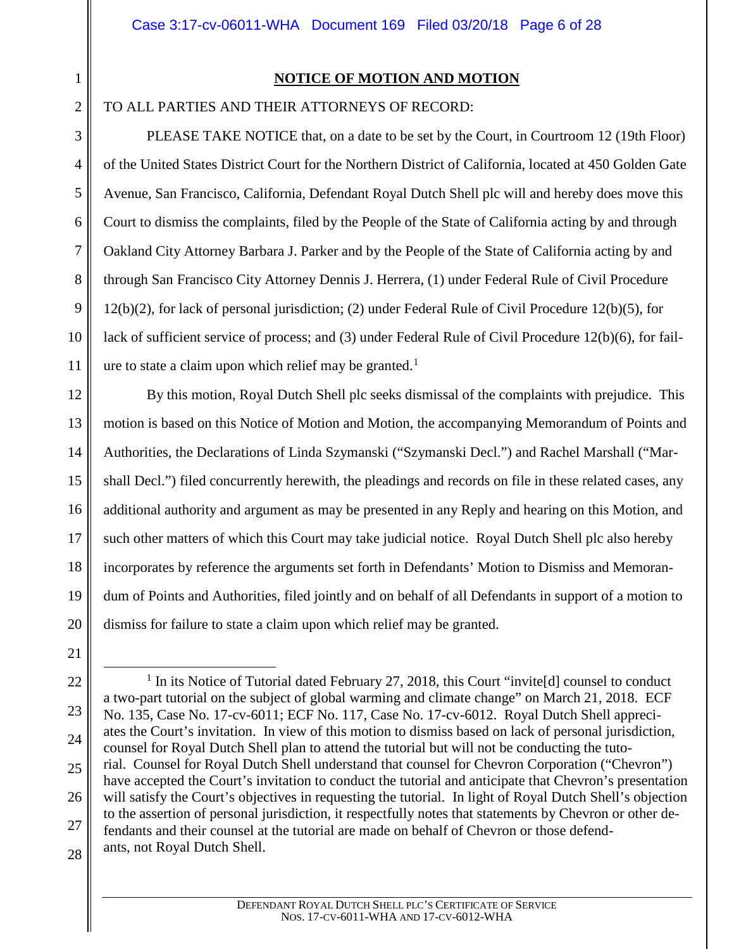3

4

5

6

7

8

9

10

11

# **NOTICE OF MOTION AND MOTION**

<span id="page-5-0"></span>TO ALL PARTIES AND THEIR ATTORNEYS OF RECORD:

PLEASE TAKE NOTICE that, on a date to be set by the Court, in Courtroom 12 (19th Floor) of the United States District Court for the Northern District of California, located at 450 Golden Gate Avenue, San Francisco, California, Defendant Royal Dutch Shell plc will and hereby does move this Court to dismiss the complaints, filed by the People of the State of California acting by and through Oakland City Attorney Barbara J. Parker and by the People of the State of California acting by and through San Francisco City Attorney Dennis J. Herrera, (1) under Federal Rule of Civil Procedure 12(b)(2), for lack of personal jurisdiction; (2) under Federal Rule of Civil Procedure 12(b)(5), for lack of sufficient service of process; and (3) under Federal Rule of Civil Procedure 12(b)(6), for fail-ure to state a claim upon which relief may be granted.<sup>[1](#page-5-1)</sup>

12 13 14 15 16 17 18 19 20 By this motion, Royal Dutch Shell plc seeks dismissal of the complaints with prejudice. This motion is based on this Notice of Motion and Motion, the accompanying Memorandum of Points and Authorities, the Declarations of Linda Szymanski ("Szymanski Decl.") and Rachel Marshall ("Marshall Decl.") filed concurrently herewith, the pleadings and records on file in these related cases, any additional authority and argument as may be presented in any Reply and hearing on this Motion, and such other matters of which this Court may take judicial notice. Royal Dutch Shell plc also hereby incorporates by reference the arguments set forth in Defendants' Motion to Dismiss and Memorandum of Points and Authorities, filed jointly and on behalf of all Defendants in support of a motion to dismiss for failure to state a claim upon which relief may be granted.

<span id="page-5-1"></span><sup>22</sup> 23 24 25 26 27 28 <sup>1</sup> In its Notice of Tutorial dated February 27, 2018, this Court "invite<sup>[d]</sup> counsel to conduct a two-part tutorial on the subject of global warming and climate change" on March 21, 2018. ECF No. 135, Case No. 17-cv-6011; ECF No. 117, Case No. 17-cv-6012. Royal Dutch Shell appreciates the Court's invitation. In view of this motion to dismiss based on lack of personal jurisdiction, counsel for Royal Dutch Shell plan to attend the tutorial but will not be conducting the tutorial. Counsel for Royal Dutch Shell understand that counsel for Chevron Corporation ("Chevron") have accepted the Court's invitation to conduct the tutorial and anticipate that Chevron's presentation will satisfy the Court's objectives in requesting the tutorial. In light of Royal Dutch Shell's objection to the assertion of personal jurisdiction, it respectfully notes that statements by Chevron or other defendants and their counsel at the tutorial are made on behalf of Chevron or those defendants, not Royal Dutch Shell.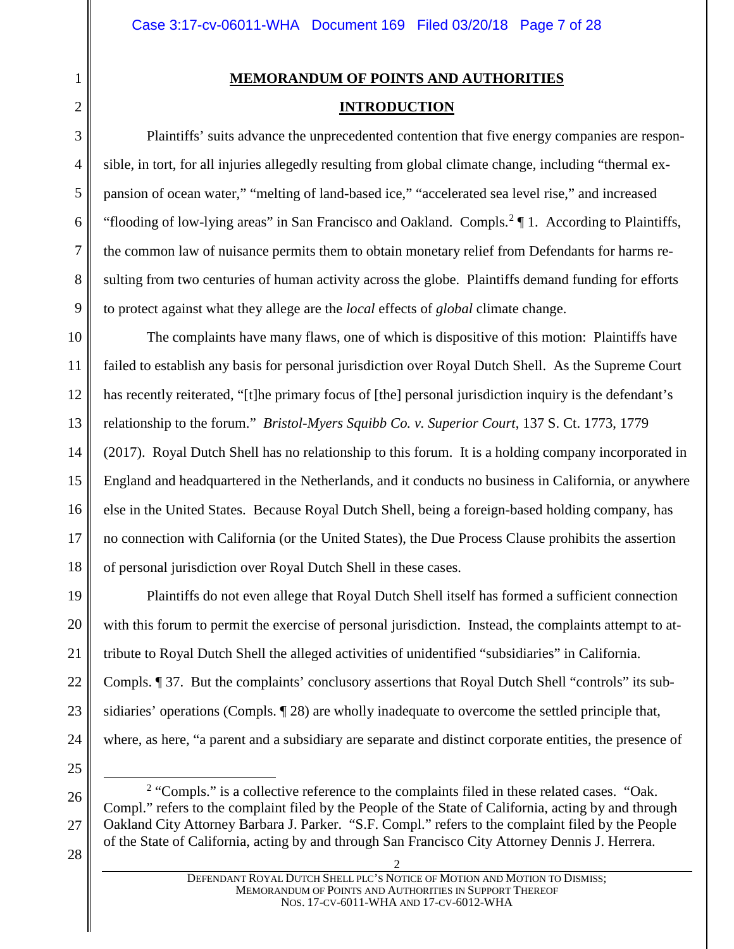# **MEMORANDUM OF POINTS AND AUTHORITIES**

### **INTRODUCTION**

Plaintiffs' suits advance the unprecedented contention that five energy companies are responsible, in tort, for all injuries allegedly resulting from global climate change, including "thermal expansion of ocean water," "melting of land-based ice," "accelerated sea level rise," and increased "flooding of low-lying areas" in San Francisco and Oakland. Compls.<sup>[2](#page-6-2)</sup> 1. According to Plaintiffs, the common law of nuisance permits them to obtain monetary relief from Defendants for harms resulting from two centuries of human activity across the globe. Plaintiffs demand funding for efforts to protect against what they allege are the *local* effects of *global* climate change.

10 11 12 13 The complaints have many flaws, one of which is dispositive of this motion: Plaintiffs have failed to establish any basis for personal jurisdiction over Royal Dutch Shell. As the Supreme Court has recently reiterated, "[t]he primary focus of [the] personal jurisdiction inquiry is the defendant's relationship to the forum." *Bristol-Myers Squibb Co. v. Superior Court*, 137 S. Ct. 1773, 1779

14 15 16 17 18 (2017). Royal Dutch Shell has no relationship to this forum. It is a holding company incorporated in England and headquartered in the Netherlands, and it conducts no business in California, or anywhere else in the United States. Because Royal Dutch Shell, being a foreign-based holding company, has no connection with California (or the United States), the Due Process Clause prohibits the assertion of personal jurisdiction over Royal Dutch Shell in these cases.

19 20 21 22 23 24 Plaintiffs do not even allege that Royal Dutch Shell itself has formed a sufficient connection with this forum to permit the exercise of personal jurisdiction. Instead, the complaints attempt to attribute to Royal Dutch Shell the alleged activities of unidentified "subsidiaries" in California. Compls. ¶ 37. But the complaints' conclusory assertions that Royal Dutch Shell "controls" its subsidiaries' operations (Compls. ¶ 28) are wholly inadequate to overcome the settled principle that, where, as here, "a parent and a subsidiary are separate and distinct corporate entities, the presence of

25

<span id="page-6-2"></span>26

27

<span id="page-6-0"></span>1

<span id="page-6-1"></span>2

3

4

5

6

7

8

9

<sup>2</sup> "Compls." is a collective reference to the complaints filed in these related cases. "Oak. Compl." refers to the complaint filed by the People of the State of California, acting by and through Oakland City Attorney Barbara J. Parker. "S.F. Compl." refers to the complaint filed by the People of the State of California, acting by and through San Francisco City Attorney Dennis J. Herrera.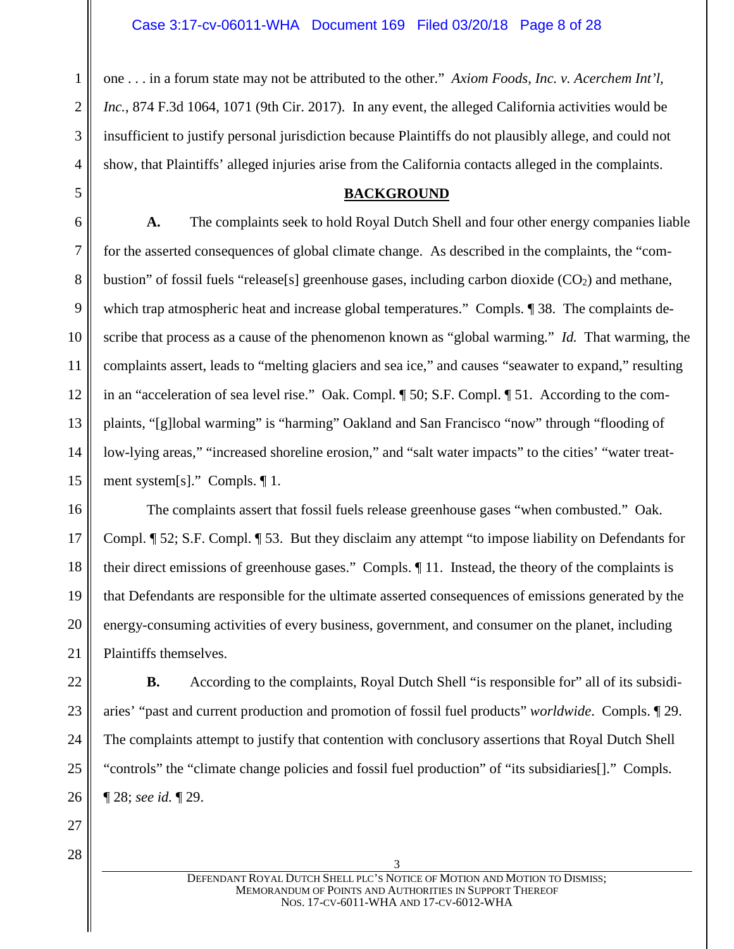one . . . in a forum state may not be attributed to the other." *Axiom Foods, Inc. v. Acerchem Int'l, Inc.*, 874 F.3d 1064, 1071 (9th Cir. 2017). In any event, the alleged California activities would be insufficient to justify personal jurisdiction because Plaintiffs do not plausibly allege, and could not show, that Plaintiffs' alleged injuries arise from the California contacts alleged in the complaints.

#### **BACKGROUND**

6 7 8 9 10 11 12 13 14 15 **A.** The complaints seek to hold Royal Dutch Shell and four other energy companies liable for the asserted consequences of global climate change. As described in the complaints, the "combustion" of fossil fuels "release[s] greenhouse gases, including carbon dioxide  $(CO<sub>2</sub>)$  and methane, which trap atmospheric heat and increase global temperatures." Compls.  $\llbracket 38$ . The complaints describe that process as a cause of the phenomenon known as "global warming." *Id.* That warming, the complaints assert, leads to "melting glaciers and sea ice," and causes "seawater to expand," resulting in an "acceleration of sea level rise." Oak. Compl. ¶ 50; S.F. Compl. ¶ 51. According to the complaints, "[g]lobal warming" is "harming" Oakland and San Francisco "now" through "flooding of low-lying areas," "increased shoreline erosion," and "salt water impacts" to the cities' "water treatment system[s]." Compls. ¶ 1.

16 17 18 19 20 21 The complaints assert that fossil fuels release greenhouse gases "when combusted." Oak. Compl. ¶ 52; S.F. Compl. ¶ 53. But they disclaim any attempt "to impose liability on Defendants for their direct emissions of greenhouse gases." Compls. ¶ 11. Instead, the theory of the complaints is that Defendants are responsible for the ultimate asserted consequences of emissions generated by the energy-consuming activities of every business, government, and consumer on the planet, including Plaintiffs themselves.

22 23 24 25 26 **B.** According to the complaints, Royal Dutch Shell "is responsible for" all of its subsidiaries' "past and current production and promotion of fossil fuel products" *worldwide*. Compls. ¶ 29. The complaints attempt to justify that contention with conclusory assertions that Royal Dutch Shell "controls" the "climate change policies and fossil fuel production" of "its subsidiaries[]." Compls. ¶ 28; *see id.* ¶ 29.

27 28

1

2

3

4

<span id="page-7-0"></span>5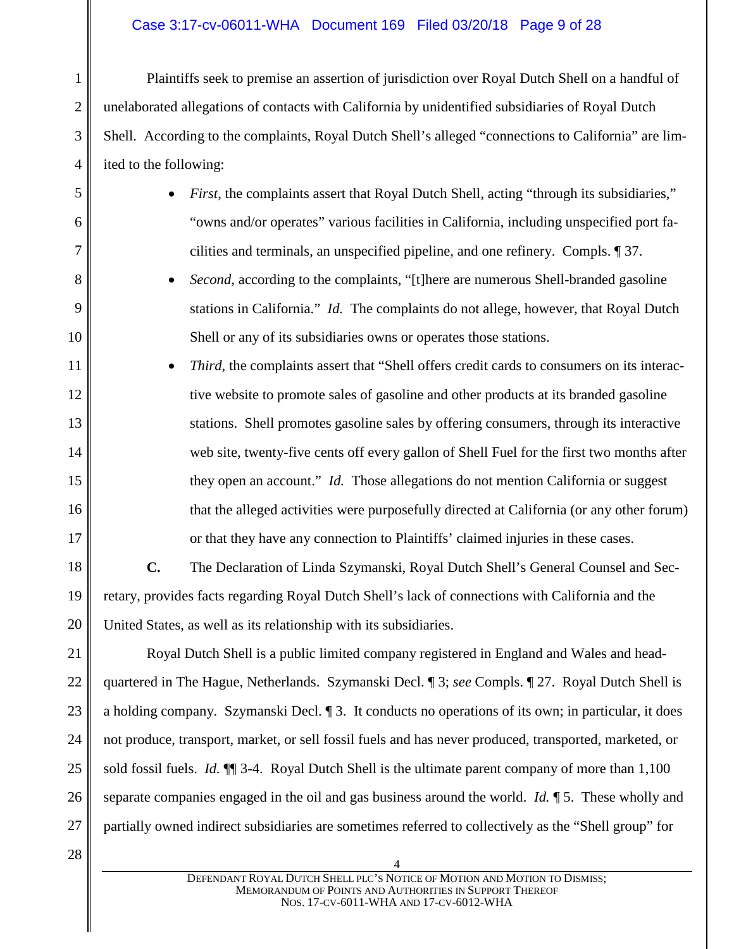### Case 3:17-cv-06011-WHA Document 169 Filed 03/20/18 Page 9 of 28

Plaintiffs seek to premise an assertion of jurisdiction over Royal Dutch Shell on a handful of unelaborated allegations of contacts with California by unidentified subsidiaries of Royal Dutch Shell. According to the complaints, Royal Dutch Shell's alleged "connections to California" are limited to the following:

- *First*, the complaints assert that Royal Dutch Shell, acting "through its subsidiaries," "owns and/or operates" various facilities in California, including unspecified port facilities and terminals, an unspecified pipeline, and one refinery. Compls. ¶ 37.
- *Second*, according to the complaints, "[t]here are numerous Shell-branded gasoline stations in California." *Id.* The complaints do not allege, however, that Royal Dutch Shell or any of its subsidiaries owns or operates those stations.
- *Third*, the complaints assert that "Shell offers credit cards to consumers on its interactive website to promote sales of gasoline and other products at its branded gasoline stations. Shell promotes gasoline sales by offering consumers, through its interactive web site, twenty-five cents off every gallon of Shell Fuel for the first two months after they open an account." *Id.* Those allegations do not mention California or suggest that the alleged activities were purposefully directed at California (or any other forum) or that they have any connection to Plaintiffs' claimed injuries in these cases.

18 19 20 **C.** The Declaration of Linda Szymanski, Royal Dutch Shell's General Counsel and Secretary, provides facts regarding Royal Dutch Shell's lack of connections with California and the United States, as well as its relationship with its subsidiaries.

21 22 23 24 25 26 27 Royal Dutch Shell is a public limited company registered in England and Wales and headquartered in The Hague, Netherlands. Szymanski Decl. ¶ 3; *see* Compls. ¶ 27. Royal Dutch Shell is a holding company. Szymanski Decl. ¶ 3. It conducts no operations of its own; in particular, it does not produce, transport, market, or sell fossil fuels and has never produced, transported, marketed, or sold fossil fuels. *Id.* ¶¶ 3-4. Royal Dutch Shell is the ultimate parent company of more than 1,100 separate companies engaged in the oil and gas business around the world. *Id.* ¶ 5. These wholly and partially owned indirect subsidiaries are sometimes referred to collectively as the "Shell group" for

28

1

2

3

4

5

6

7

8

9

10

11

12

13

14

15

16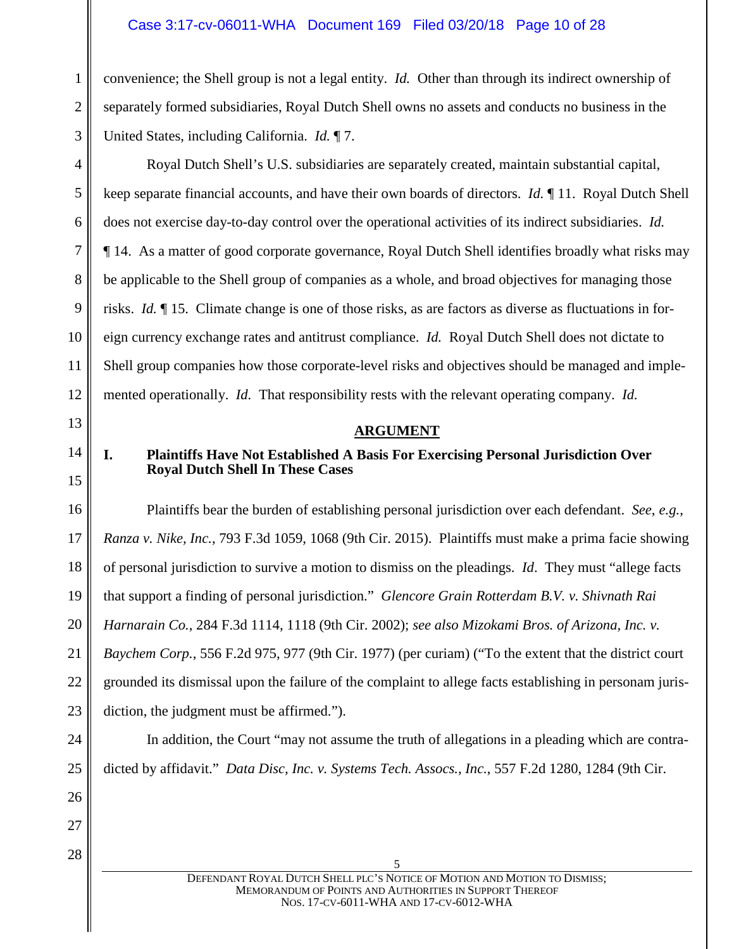#### Case 3:17-cv-06011-WHA Document 169 Filed 03/20/18 Page 10 of 28

convenience; the Shell group is not a legal entity. *Id.* Other than through its indirect ownership of separately formed subsidiaries, Royal Dutch Shell owns no assets and conducts no business in the United States, including California. *Id.* ¶ 7.

Royal Dutch Shell's U.S. subsidiaries are separately created, maintain substantial capital, keep separate financial accounts, and have their own boards of directors. *Id.* ¶ 11. Royal Dutch Shell does not exercise day-to-day control over the operational activities of its indirect subsidiaries. *Id.* ¶ 14. As a matter of good corporate governance, Royal Dutch Shell identifies broadly what risks may be applicable to the Shell group of companies as a whole, and broad objectives for managing those risks. *Id.* ¶ 15. Climate change is one of those risks, as are factors as diverse as fluctuations in foreign currency exchange rates and antitrust compliance. *Id.* Royal Dutch Shell does not dictate to Shell group companies how those corporate-level risks and objectives should be managed and implemented operationally. *Id.* That responsibility rests with the relevant operating company. *Id.*

# 14

1

2

3

4

5

6

7

8

9

10

11

12

<span id="page-9-0"></span>13

15

# **ARGUMENT**

# <span id="page-9-1"></span>**I. Plaintiffs Have Not Established A Basis For Exercising Personal Jurisdiction Over Royal Dutch Shell In These Cases**

16 17 18 19 20 21 22 23 Plaintiffs bear the burden of establishing personal jurisdiction over each defendant. *See*, *e.g.*, *Ranza v. Nike, Inc.*, 793 F.3d 1059, 1068 (9th Cir. 2015). Plaintiffs must make a prima facie showing of personal jurisdiction to survive a motion to dismiss on the pleadings. *Id*. They must "allege facts that support a finding of personal jurisdiction." *Glencore Grain Rotterdam B.V. v. Shivnath Rai Harnarain Co.*, 284 F.3d 1114, 1118 (9th Cir. 2002); *see also Mizokami Bros. of Arizona, Inc. v. Baychem Corp.*, 556 F.2d 975, 977 (9th Cir. 1977) (per curiam) ("To the extent that the district court grounded its dismissal upon the failure of the complaint to allege facts establishing in personam jurisdiction, the judgment must be affirmed.").

In addition, the Court "may not assume the truth of allegations in a pleading which are contradicted by affidavit." *Data Disc, Inc. v. Systems Tech. Assocs., Inc.*, 557 F.2d 1280, 1284 (9th Cir.

27

28

24

25

26

DEFENDANT ROYAL DUTCH SHELL PLC'S NOTICE OF MOTION AND MOTION TO DISMISS; MEMORANDUM OF POINTS AND AUTHORITIES IN SUPPORT THEREOF NOS. 17-CV-6011-WHA AND 17-CV-6012-WHA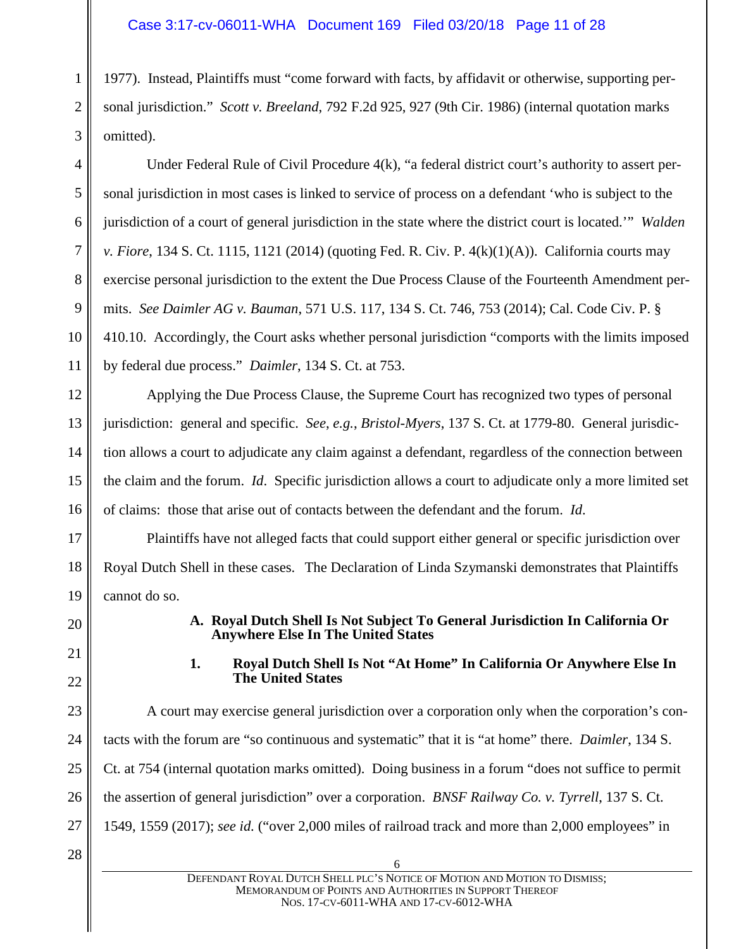1 2 3 1977). Instead, Plaintiffs must "come forward with facts, by affidavit or otherwise, supporting personal jurisdiction." *Scott v. Breeland*, 792 F.2d 925, 927 (9th Cir. 1986) (internal quotation marks omitted).

Under Federal Rule of Civil Procedure 4(k), "a federal district court's authority to assert personal jurisdiction in most cases is linked to service of process on a defendant 'who is subject to the jurisdiction of a court of general jurisdiction in the state where the district court is located.'" *Walden v. Fiore*, 134 S. Ct. 1115, 1121 (2014) (quoting Fed. R. Civ. P. 4(k)(1)(A)). California courts may exercise personal jurisdiction to the extent the Due Process Clause of the Fourteenth Amendment permits. *See Daimler AG v. Bauman*, 571 U.S. 117, 134 S. Ct. 746, 753 (2014); Cal. Code Civ. P. § 410.10. Accordingly, the Court asks whether personal jurisdiction "comports with the limits imposed by federal due process." *Daimler*, 134 S. Ct. at 753.

12 16 Applying the Due Process Clause, the Supreme Court has recognized two types of personal jurisdiction: general and specific. *See*, *e.g.*, *Bristol-Myers*, 137 S. Ct. at 1779-80. General jurisdiction allows a court to adjudicate any claim against a defendant, regardless of the connection between the claim and the forum. *Id*. Specific jurisdiction allows a court to adjudicate only a more limited set of claims: those that arise out of contacts between the defendant and the forum. *Id*.

Plaintiffs have not alleged facts that could support either general or specific jurisdiction over Royal Dutch Shell in these cases. The Declaration of Linda Szymanski demonstrates that Plaintiffs cannot do so.

<span id="page-10-0"></span>20

4

5

6

7

8

9

10

11

13

14

15

17

18

19

<span id="page-10-1"></span>21 22

# **A. Royal Dutch Shell Is Not Subject To General Jurisdiction In California Or Anywhere Else In The United States**

**1. Royal Dutch Shell Is Not "At Home" In California Or Anywhere Else In The United States**

23 24 25 26 27 A court may exercise general jurisdiction over a corporation only when the corporation's contacts with the forum are "so continuous and systematic" that it is "at home" there. *Daimler*, 134 S. Ct. at 754 (internal quotation marks omitted). Doing business in a forum "does not suffice to permit the assertion of general jurisdiction" over a corporation. *BNSF Railway Co. v. Tyrrell*, 137 S. Ct. 1549, 1559 (2017); *see id.* ("over 2,000 miles of railroad track and more than 2,000 employees" in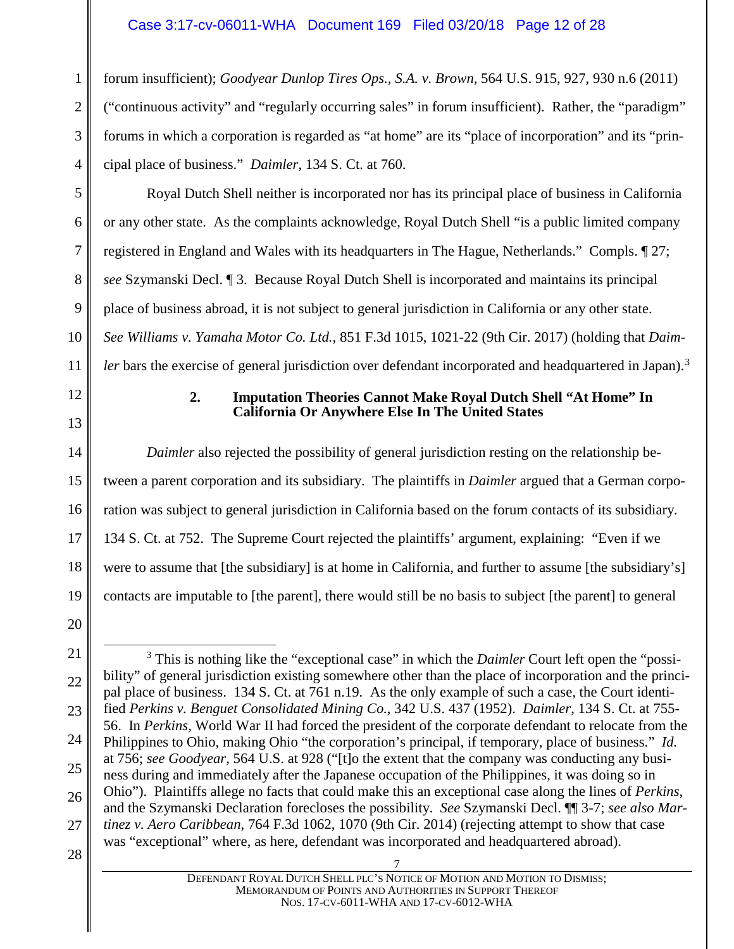1 2 3 4 forum insufficient); *Goodyear Dunlop Tires Ops., S.A. v. Brown*, 564 U.S. 915, 927, 930 n.6 (2011) ("continuous activity" and "regularly occurring sales" in forum insufficient). Rather, the "paradigm" forums in which a corporation is regarded as "at home" are its "place of incorporation" and its "principal place of business." *Daimler*, 134 S. Ct. at 760.

Royal Dutch Shell neither is incorporated nor has its principal place of business in California or any other state. As the complaints acknowledge, Royal Dutch Shell "is a public limited company registered in England and Wales with its headquarters in The Hague, Netherlands." Compls. ¶ 27; *see* Szymanski Decl. ¶ 3. Because Royal Dutch Shell is incorporated and maintains its principal place of business abroad, it is not subject to general jurisdiction in California or any other state. *See Williams v. Yamaha Motor Co. Ltd.*, 851 F.3d 1015, 1021-22 (9th Cir. 2017) (holding that *Daimler* bars the exercise of general jurisdiction over defendant incorporated and headquartered in Japan).<sup>[3](#page-11-1)</sup>

### **2. Imputation Theories Cannot Make Royal Dutch Shell "At Home" In California Or Anywhere Else In The United States**

*Daimler* also rejected the possibility of general jurisdiction resting on the relationship between a parent corporation and its subsidiary. The plaintiffs in *Daimler* argued that a German corporation was subject to general jurisdiction in California based on the forum contacts of its subsidiary. 134 S. Ct. at 752. The Supreme Court rejected the plaintiffs' argument, explaining: "Even if we were to assume that [the subsidiary] is at home in California, and further to assume [the subsidiary's] contacts are imputable to [the parent], there would still be no basis to subject [the parent] to general

23

24

25

5

6

7

8

9

10

11

<span id="page-11-0"></span>12

13

14

15

16

17

18

19

28

<sup>20</sup> 21

<span id="page-11-1"></span><sup>22</sup> 26 3 This is nothing like the "exceptional case" in which the *Daimler* Court left open the "possibility" of general jurisdiction existing somewhere other than the place of incorporation and the principal place of business. 134 S. Ct. at 761 n.19. As the only example of such a case, the Court identified *Perkins v. Benguet Consolidated Mining Co.*, 342 U.S. 437 (1952). *Daimler*, 134 S. Ct. at 755- 56. In *Perkins*, World War II had forced the president of the corporate defendant to relocate from the Philippines to Ohio, making Ohio "the corporation's principal, if temporary, place of business." *Id.* at 756; *see Goodyear*, 564 U.S. at 928 ("[t]o the extent that the company was conducting any business during and immediately after the Japanese occupation of the Philippines, it was doing so in Ohio"). Plaintiffs allege no facts that could make this an exceptional case along the lines of *Perkins*, and the Szymanski Declaration forecloses the possibility. *See* Szymanski Decl. ¶¶ 3-7; *see also Martinez v. Aero Caribbean*, 764 F.3d 1062, 1070 (9th Cir. 2014) (rejecting attempt to show that case was "exceptional" where, as here, defendant was incorporated and headquartered abroad).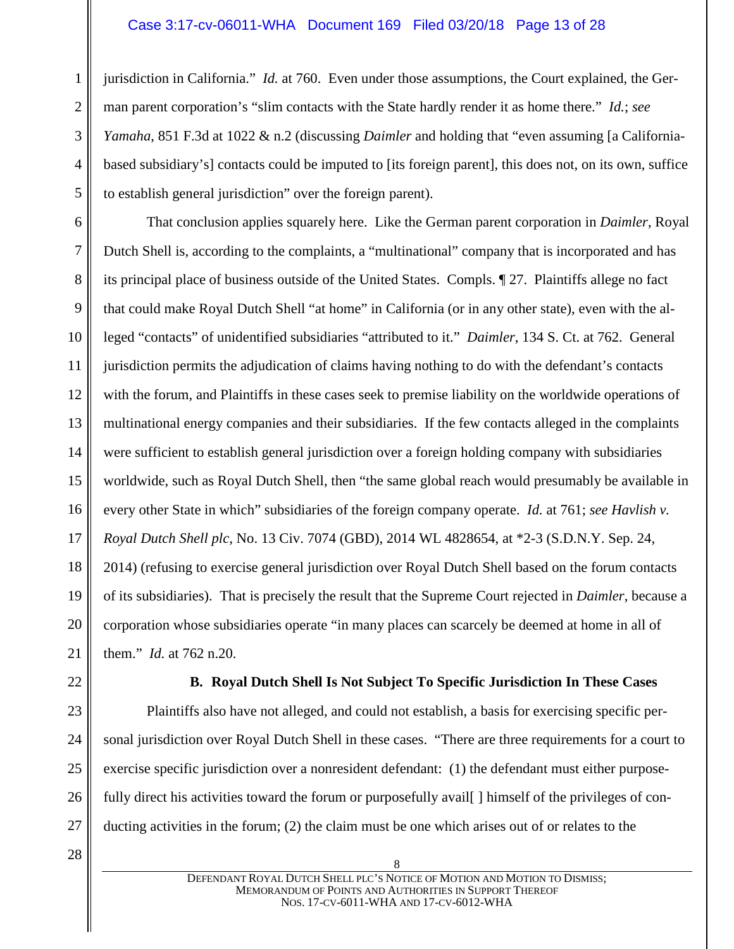1 2 3 4 5 jurisdiction in California." *Id.* at 760. Even under those assumptions, the Court explained, the German parent corporation's "slim contacts with the State hardly render it as home there." *Id.*; *see Yamaha*, 851 F.3d at 1022 & n.2 (discussing *Daimler* and holding that "even assuming [a Californiabased subsidiary's] contacts could be imputed to [its foreign parent], this does not, on its own, suffice to establish general jurisdiction" over the foreign parent).

6 7 8 9 10 11 12 13 14 15 16 17 18 19 20 21 That conclusion applies squarely here. Like the German parent corporation in *Daimler*, Royal Dutch Shell is, according to the complaints, a "multinational" company that is incorporated and has its principal place of business outside of the United States. Compls. ¶ 27. Plaintiffs allege no fact that could make Royal Dutch Shell "at home" in California (or in any other state), even with the alleged "contacts" of unidentified subsidiaries "attributed to it." *Daimler*, 134 S. Ct. at 762. General jurisdiction permits the adjudication of claims having nothing to do with the defendant's contacts with the forum, and Plaintiffs in these cases seek to premise liability on the worldwide operations of multinational energy companies and their subsidiaries. If the few contacts alleged in the complaints were sufficient to establish general jurisdiction over a foreign holding company with subsidiaries worldwide, such as Royal Dutch Shell, then "the same global reach would presumably be available in every other State in which" subsidiaries of the foreign company operate. *Id.* at 761; *see Havlish v. Royal Dutch Shell plc*, No. 13 Civ. 7074 (GBD), 2014 WL 4828654, at \*2-3 (S.D.N.Y. Sep. 24, 2014) (refusing to exercise general jurisdiction over Royal Dutch Shell based on the forum contacts of its subsidiaries). That is precisely the result that the Supreme Court rejected in *Daimler*, because a corporation whose subsidiaries operate "in many places can scarcely be deemed at home in all of them." *Id.* at 762 n.20.

<span id="page-12-0"></span>22 23

24

25

26

27

#### **B. Royal Dutch Shell Is Not Subject To Specific Jurisdiction In These Cases**

Plaintiffs also have not alleged, and could not establish, a basis for exercising specific personal jurisdiction over Royal Dutch Shell in these cases. "There are three requirements for a court to exercise specific jurisdiction over a nonresident defendant: (1) the defendant must either purposefully direct his activities toward the forum or purposefully avail [1] himself of the privileges of conducting activities in the forum; (2) the claim must be one which arises out of or relates to the

28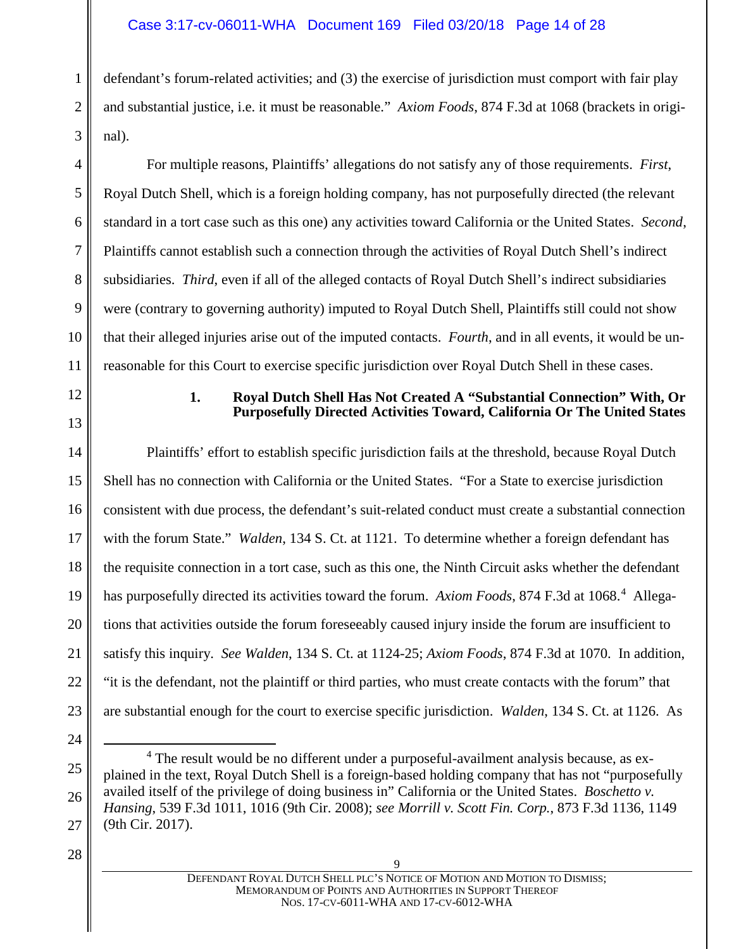# Case 3:17-cv-06011-WHA Document 169 Filed 03/20/18 Page 14 of 28

defendant's forum-related activities; and (3) the exercise of jurisdiction must comport with fair play and substantial justice, i.e. it must be reasonable." *Axiom Foods*, 874 F.3d at 1068 (brackets in original).

For multiple reasons, Plaintiffs' allegations do not satisfy any of those requirements. *First*, Royal Dutch Shell, which is a foreign holding company, has not purposefully directed (the relevant standard in a tort case such as this one) any activities toward California or the United States. *Second*, Plaintiffs cannot establish such a connection through the activities of Royal Dutch Shell's indirect subsidiaries. *Third*, even if all of the alleged contacts of Royal Dutch Shell's indirect subsidiaries were (contrary to governing authority) imputed to Royal Dutch Shell, Plaintiffs still could not show that their alleged injuries arise out of the imputed contacts. *Fourth*, and in all events, it would be unreasonable for this Court to exercise specific jurisdiction over Royal Dutch Shell in these cases.

#### **1. Royal Dutch Shell Has Not Created A "Substantial Connection" With, Or Purposefully Directed Activities Toward, California Or The United States**

14 15 16 17 18 19 20 21 22 23 Plaintiffs' effort to establish specific jurisdiction fails at the threshold, because Royal Dutch Shell has no connection with California or the United States. "For a State to exercise jurisdiction consistent with due process, the defendant's suit-related conduct must create a substantial connection with the forum State." *Walden*, 134 S. Ct. at 1121. To determine whether a foreign defendant has the requisite connection in a tort case, such as this one, the Ninth Circuit asks whether the defendant has purposefully directed its activities toward the forum. Axiom Foods, 87[4](#page-13-1) F.3d at 1068.<sup>4</sup> Allegations that activities outside the forum foreseeably caused injury inside the forum are insufficient to satisfy this inquiry. *See Walden*, 134 S. Ct. at 1124-25; *Axiom Foods*, 874 F.3d at 1070. In addition, "it is the defendant, not the plaintiff or third parties, who must create contacts with the forum" that are substantial enough for the court to exercise specific jurisdiction. *Walden*, 134 S. Ct. at 1126. As

28

24

<span id="page-13-1"></span>25

26

27

1

2

3

4

5

6

7

8

9

10

11

<span id="page-13-0"></span>12

<sup>&</sup>lt;sup>4</sup> The result would be no different under a purposeful-availment analysis because, as explained in the text, Royal Dutch Shell is a foreign-based holding company that has not "purposefully availed itself of the privilege of doing business in" California or the United States. *Boschetto v. Hansing*, 539 F.3d 1011, 1016 (9th Cir. 2008); *see Morrill v. Scott Fin. Corp.*, 873 F.3d 1136, 1149 (9th Cir. 2017).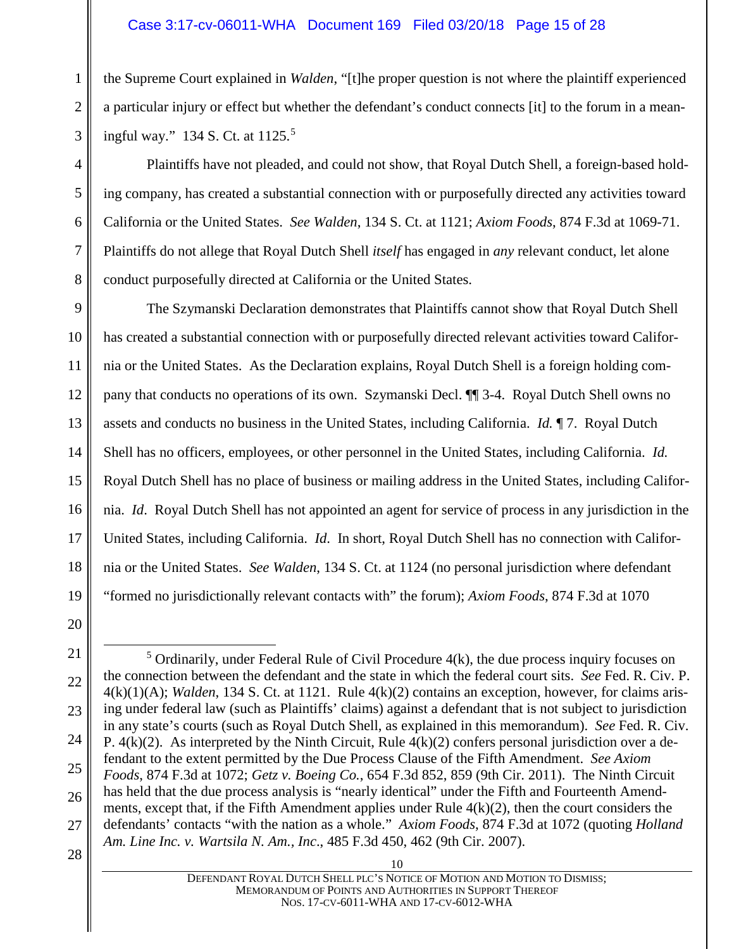### Case 3:17-cv-06011-WHA Document 169 Filed 03/20/18 Page 15 of 28

the Supreme Court explained in *Walden*, "[t]he proper question is not where the plaintiff experienced a particular injury or effect but whether the defendant's conduct connects [it] to the forum in a meaningful way." 134 S. Ct. at 1125.[5](#page-14-0)

Plaintiffs have not pleaded, and could not show, that Royal Dutch Shell, a foreign-based holding company, has created a substantial connection with or purposefully directed any activities toward California or the United States. *See Walden*, 134 S. Ct. at 1121; *Axiom Foods*, 874 F.3d at 1069-71. Plaintiffs do not allege that Royal Dutch Shell *itself* has engaged in *any* relevant conduct, let alone conduct purposefully directed at California or the United States.

9 10 11 12 13 14 15 16 17 18 19 The Szymanski Declaration demonstrates that Plaintiffs cannot show that Royal Dutch Shell has created a substantial connection with or purposefully directed relevant activities toward California or the United States. As the Declaration explains, Royal Dutch Shell is a foreign holding company that conducts no operations of its own. Szymanski Decl. ¶¶ 3-4. Royal Dutch Shell owns no assets and conducts no business in the United States, including California. *Id.* ¶ 7. Royal Dutch Shell has no officers, employees, or other personnel in the United States, including California. *Id.* Royal Dutch Shell has no place of business or mailing address in the United States, including California. *Id*. Royal Dutch Shell has not appointed an agent for service of process in any jurisdiction in the United States, including California. *Id*. In short, Royal Dutch Shell has no connection with California or the United States. *See Walden*, 134 S. Ct. at 1124 (no personal jurisdiction where defendant "formed no jurisdictionally relevant contacts with" the forum); *Axiom Foods*, 874 F.3d at 1070

1

2

3

4

5

6

7

8

<sup>20</sup> 21

<span id="page-14-0"></span><sup>22</sup> 23 24 25 26 27  $5$  Ordinarily, under Federal Rule of Civil Procedure  $4(k)$ , the due process inquiry focuses on the connection between the defendant and the state in which the federal court sits. *See* Fed. R. Civ. P. 4(k)(1)(A); *Walden*, 134 S. Ct. at 1121. Rule 4(k)(2) contains an exception, however, for claims arising under federal law (such as Plaintiffs' claims) against a defendant that is not subject to jurisdiction in any state's courts (such as Royal Dutch Shell, as explained in this memorandum). *See* Fed. R. Civ. P.  $4(k)(2)$ . As interpreted by the Ninth Circuit, Rule  $4(k)(2)$  confers personal jurisdiction over a defendant to the extent permitted by the Due Process Clause of the Fifth Amendment. *See Axiom Foods*, 874 F.3d at 1072; *Getz v. Boeing Co.*, 654 F.3d 852, 859 (9th Cir. 2011). The Ninth Circuit has held that the due process analysis is "nearly identical" under the Fifth and Fourteenth Amendments, except that, if the Fifth Amendment applies under Rule 4(k)(2), then the court considers the defendants' contacts "with the nation as a whole." *Axiom Foods*, 874 F.3d at 1072 (quoting *Holland Am. Line Inc. v. Wartsila N. Am., Inc*., 485 F.3d 450, 462 (9th Cir. 2007).

<sup>28</sup>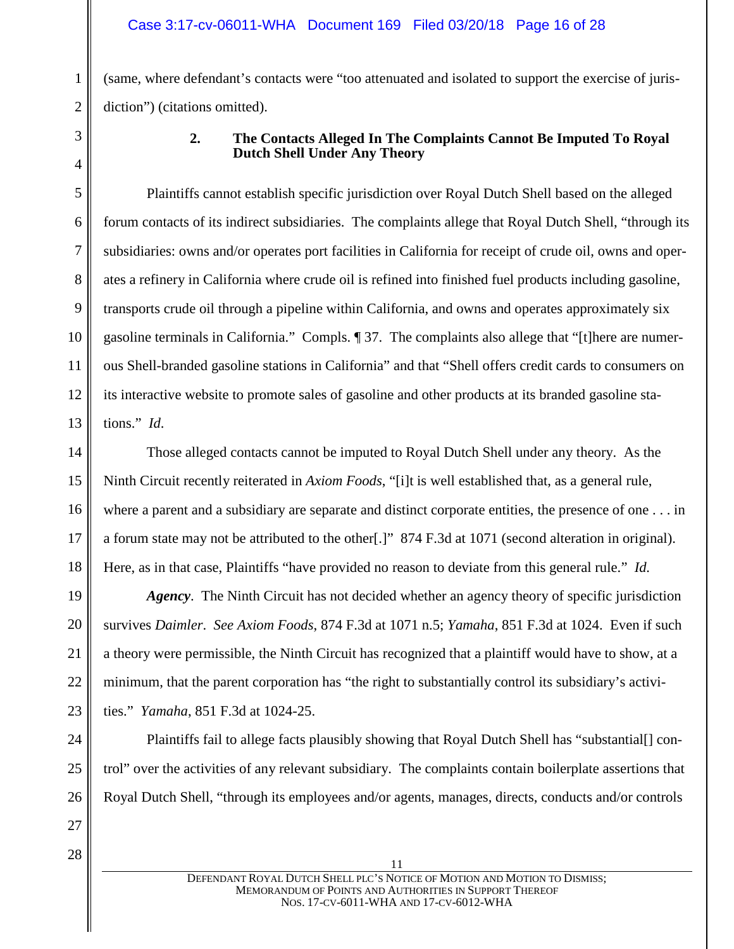(same, where defendant's contacts were "too attenuated and isolated to support the exercise of jurisdiction") (citations omitted).

<span id="page-15-0"></span>

1

2

3

4

5

6

7

8

9

10

11

12

13

19

20

21

23

24

25

26

# **2. The Contacts Alleged In The Complaints Cannot Be Imputed To Royal Dutch Shell Under Any Theory**

Plaintiffs cannot establish specific jurisdiction over Royal Dutch Shell based on the alleged forum contacts of its indirect subsidiaries. The complaints allege that Royal Dutch Shell, "through its subsidiaries: owns and/or operates port facilities in California for receipt of crude oil, owns and operates a refinery in California where crude oil is refined into finished fuel products including gasoline, transports crude oil through a pipeline within California, and owns and operates approximately six gasoline terminals in California." Compls. ¶ 37. The complaints also allege that "[t]here are numerous Shell-branded gasoline stations in California" and that "Shell offers credit cards to consumers on its interactive website to promote sales of gasoline and other products at its branded gasoline stations." *Id*.

14 15 16 17 18 Those alleged contacts cannot be imputed to Royal Dutch Shell under any theory. As the Ninth Circuit recently reiterated in *Axiom Foods*, "[i]t is well established that, as a general rule, where a parent and a subsidiary are separate and distinct corporate entities, the presence of one . . . in a forum state may not be attributed to the other[.]" 874 F.3d at 1071 (second alteration in original). Here, as in that case, Plaintiffs "have provided no reason to deviate from this general rule." *Id.*

22 *Agency*. The Ninth Circuit has not decided whether an agency theory of specific jurisdiction survives *Daimler*. *See Axiom Foods*, 874 F.3d at 1071 n.5; *Yamaha*, 851 F.3d at 1024. Even if such a theory were permissible, the Ninth Circuit has recognized that a plaintiff would have to show, at a minimum, that the parent corporation has "the right to substantially control its subsidiary's activities." *Yamaha*, 851 F.3d at 1024-25.

Plaintiffs fail to allege facts plausibly showing that Royal Dutch Shell has "substantial[] control" over the activities of any relevant subsidiary. The complaints contain boilerplate assertions that Royal Dutch Shell, "through its employees and/or agents, manages, directs, conducts and/or controls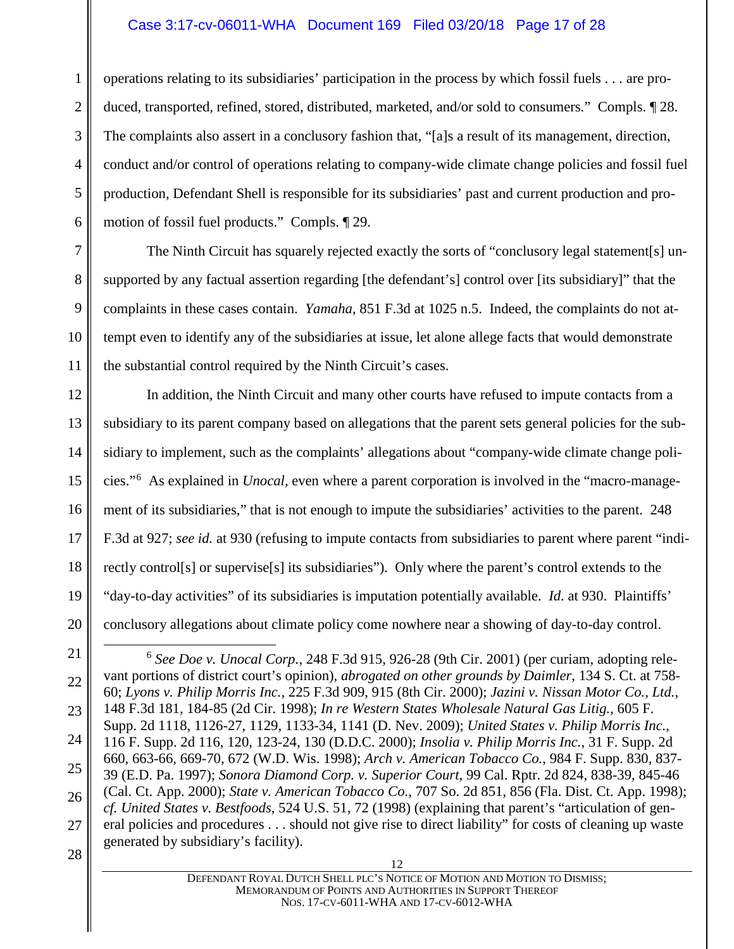### Case 3:17-cv-06011-WHA Document 169 Filed 03/20/18 Page 17 of 28

1 2 3 4 5 6 operations relating to its subsidiaries' participation in the process by which fossil fuels . . . are produced, transported, refined, stored, distributed, marketed, and/or sold to consumers." Compls. ¶ 28. The complaints also assert in a conclusory fashion that, "[a]s a result of its management, direction, conduct and/or control of operations relating to company-wide climate change policies and fossil fuel production, Defendant Shell is responsible for its subsidiaries' past and current production and promotion of fossil fuel products." Compls. ¶ 29.

The Ninth Circuit has squarely rejected exactly the sorts of "conclusory legal statement[s] unsupported by any factual assertion regarding [the defendant's] control over [its subsidiary]" that the complaints in these cases contain. *Yamaha*, 851 F.3d at 1025 n.5. Indeed, the complaints do not attempt even to identify any of the subsidiaries at issue, let alone allege facts that would demonstrate the substantial control required by the Ninth Circuit's cases.

7

8

9

10

11

12 13 14 15 16 17 18 19 20 In addition, the Ninth Circuit and many other courts have refused to impute contacts from a subsidiary to its parent company based on allegations that the parent sets general policies for the subsidiary to implement, such as the complaints' allegations about "company-wide climate change policies."[6](#page-16-0) As explained in *Unocal*, even where a parent corporation is involved in the "macro-management of its subsidiaries," that is not enough to impute the subsidiaries' activities to the parent. 248 F.3d at 927; *see id.* at 930 (refusing to impute contacts from subsidiaries to parent where parent "indirectly control[s] or supervise[s] its subsidiaries"). Only where the parent's control extends to the "day-to-day activities" of its subsidiaries is imputation potentially available. *Id*. at 930. Plaintiffs' conclusory allegations about climate policy come nowhere near a showing of day-to-day control.

12 DEFENDANT ROYAL DUTCH SHELL PLC'S NOTICE OF MOTION AND MOTION TO DISMISS; MEMORANDUM OF POINTS AND AUTHORITIES IN SUPPORT THEREOF NOS. 17-CV-6011-WHA AND 17-CV-6012-WHA

<span id="page-16-0"></span><sup>21</sup> 22 23 24 25 26 27 28 6 *See Doe v. Unocal Corp.*, 248 F.3d 915, 926-28 (9th Cir. 2001) (per curiam, adopting relevant portions of district court's opinion), *abrogated on other grounds by Daimler*, 134 S. Ct. at 758- 60; *Lyons v. Philip Morris Inc.*, 225 F.3d 909, 915 (8th Cir. 2000); *Jazini v. Nissan Motor Co., Ltd.*, 148 F.3d 181, 184-85 (2d Cir. 1998); *In re Western States Wholesale Natural Gas Litig.*, 605 F. Supp. 2d 1118, 1126-27, 1129, 1133-34, 1141 (D. Nev. 2009); *United States v. Philip Morris Inc.*, 116 F. Supp. 2d 116, 120, 123-24, 130 (D.D.C. 2000); *Insolia v. Philip Morris Inc.*, 31 F. Supp. 2d 660, 663-66, 669-70, 672 (W.D. Wis. 1998); *Arch v. American Tobacco Co.*, 984 F. Supp. 830, 837- 39 (E.D. Pa. 1997); *Sonora Diamond Corp. v. Superior Court*, 99 Cal. Rptr. 2d 824, 838-39, 845-46 (Cal. Ct. App. 2000); *State v. American Tobacco Co.*, 707 So. 2d 851, 856 (Fla. Dist. Ct. App. 1998); *cf. United States v. Bestfoods*, 524 U.S. 51, 72 (1998) (explaining that parent's "articulation of general policies and procedures . . . should not give rise to direct liability" for costs of cleaning up waste generated by subsidiary's facility).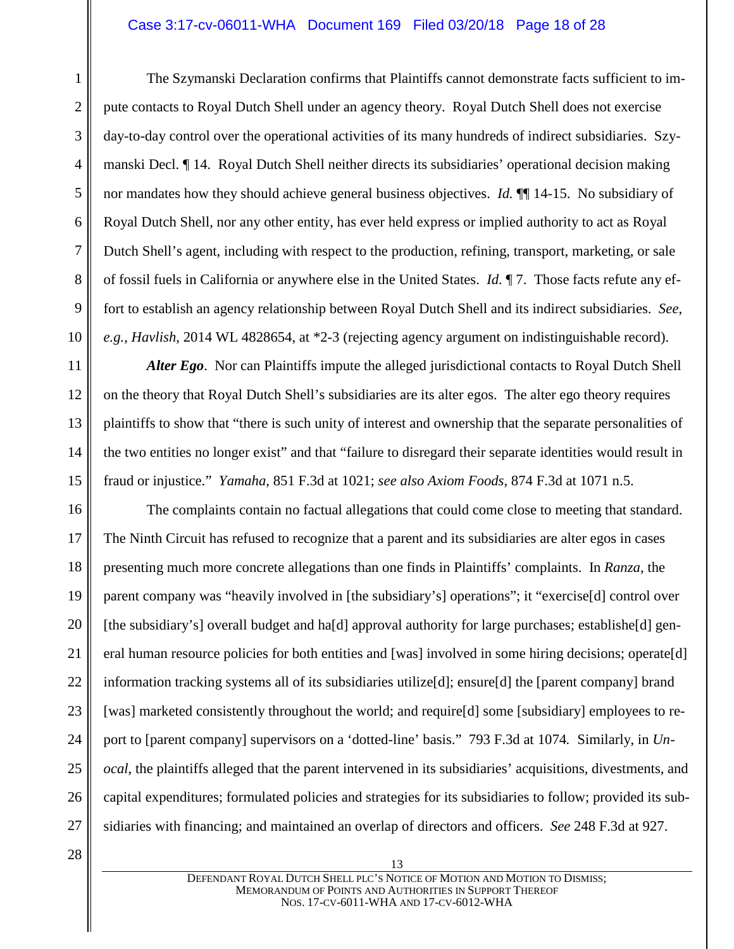#### Case 3:17-cv-06011-WHA Document 169 Filed 03/20/18 Page 18 of 28

The Szymanski Declaration confirms that Plaintiffs cannot demonstrate facts sufficient to impute contacts to Royal Dutch Shell under an agency theory. Royal Dutch Shell does not exercise day-to-day control over the operational activities of its many hundreds of indirect subsidiaries. Szymanski Decl. ¶ 14. Royal Dutch Shell neither directs its subsidiaries' operational decision making nor mandates how they should achieve general business objectives. *Id.* ¶¶ 14-15. No subsidiary of Royal Dutch Shell, nor any other entity, has ever held express or implied authority to act as Royal Dutch Shell's agent, including with respect to the production, refining, transport, marketing, or sale of fossil fuels in California or anywhere else in the United States. *Id*. ¶ 7. Those facts refute any effort to establish an agency relationship between Royal Dutch Shell and its indirect subsidiaries. *See*, *e.g.*, *Havlish*, 2014 WL 4828654, at \*2-3 (rejecting agency argument on indistinguishable record).

*Alter Ego*. Nor can Plaintiffs impute the alleged jurisdictional contacts to Royal Dutch Shell on the theory that Royal Dutch Shell's subsidiaries are its alter egos. The alter ego theory requires plaintiffs to show that "there is such unity of interest and ownership that the separate personalities of the two entities no longer exist" and that "failure to disregard their separate identities would result in fraud or injustice." *Yamaha*, 851 F.3d at 1021; *see also Axiom Foods*, 874 F.3d at 1071 n.5.

16 17 18 19 20 21 22 23 24 25 26 27 The complaints contain no factual allegations that could come close to meeting that standard. The Ninth Circuit has refused to recognize that a parent and its subsidiaries are alter egos in cases presenting much more concrete allegations than one finds in Plaintiffs' complaints. In *Ranza*, the parent company was "heavily involved in [the subsidiary's] operations"; it "exercise[d] control over [the subsidiary's] overall budget and ha[d] approval authority for large purchases; establishe[d] general human resource policies for both entities and [was] involved in some hiring decisions; operate[d] information tracking systems all of its subsidiaries utilize[d]; ensure[d] the [parent company] brand [was] marketed consistently throughout the world; and require[d] some [subsidiary] employees to report to [parent company] supervisors on a 'dotted-line' basis." 793 F.3d at 1074*.* Similarly, in *Unocal*, the plaintiffs alleged that the parent intervened in its subsidiaries' acquisitions, divestments, and capital expenditures; formulated policies and strategies for its subsidiaries to follow; provided its subsidiaries with financing; and maintained an overlap of directors and officers. *See* 248 F.3d at 927.

28

1

2

3

4

5

6

7

8

9

10

11

12

13

14

15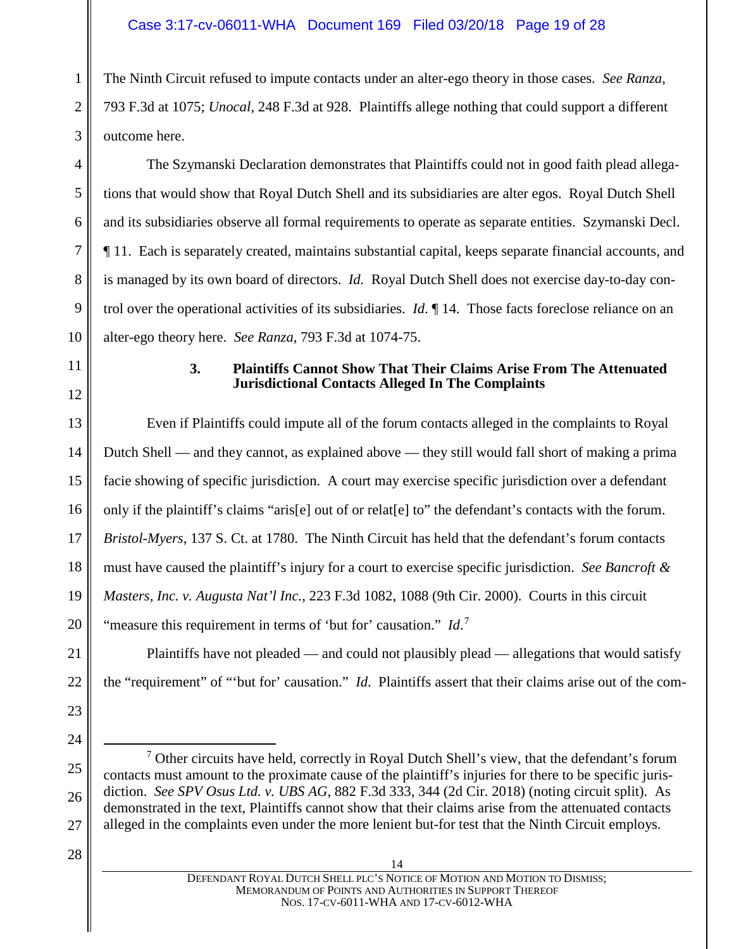The Ninth Circuit refused to impute contacts under an alter-ego theory in those cases. *See Ranza*, 793 F.3d at 1075; *Unocal*, 248 F.3d at 928. Plaintiffs allege nothing that could support a different outcome here.

The Szymanski Declaration demonstrates that Plaintiffs could not in good faith plead allegations that would show that Royal Dutch Shell and its subsidiaries are alter egos. Royal Dutch Shell and its subsidiaries observe all formal requirements to operate as separate entities. Szymanski Decl. ¶ 11. Each is separately created, maintains substantial capital, keeps separate financial accounts, and is managed by its own board of directors. *Id.* Royal Dutch Shell does not exercise day-to-day control over the operational activities of its subsidiaries. *Id*. ¶ 14. Those facts foreclose reliance on an alter-ego theory here. *See Ranza*, 793 F.3d at 1074-75.

<span id="page-18-0"></span>11

1

2

3

4

5

6

7

8

9

10

12

# **3. Plaintiffs Cannot Show That Their Claims Arise From The Attenuated Jurisdictional Contacts Alleged In The Complaints**

13 14 15 16 17 18 19 20 Even if Plaintiffs could impute all of the forum contacts alleged in the complaints to Royal Dutch Shell — and they cannot, as explained above — they still would fall short of making a prima facie showing of specific jurisdiction. A court may exercise specific jurisdiction over a defendant only if the plaintiff's claims "aris[e] out of or relat[e] to" the defendant's contacts with the forum. *Bristol-Myers*, 137 S. Ct. at 1780. The Ninth Circuit has held that the defendant's forum contacts must have caused the plaintiff's injury for a court to exercise specific jurisdiction. *See Bancroft & Masters, Inc. v. Augusta Nat'l Inc.*, 223 F.3d 1082, 1088 (9th Cir. 2000). Courts in this circuit "measure this requirement in terms of 'but for' causation." *Id*.<sup>[7](#page-18-1)</sup>

21 22 Plaintiffs have not pleaded — and could not plausibly plead — allegations that would satisfy the "requirement" of "'but for' causation." *Id*. Plaintiffs assert that their claims arise out of the com-

28

23

24

<span id="page-18-1"></span>25

26

 $<sup>7</sup>$  Other circuits have held, correctly in Royal Dutch Shell's view, that the defendant's forum</sup> contacts must amount to the proximate cause of the plaintiff's injuries for there to be specific jurisdiction. *See SPV Osus Ltd. v. UBS AG*, 882 F.3d 333, 344 (2d Cir. 2018) (noting circuit split). As demonstrated in the text, Plaintiffs cannot show that their claims arise from the attenuated contacts alleged in the complaints even under the more lenient but-for test that the Ninth Circuit employs.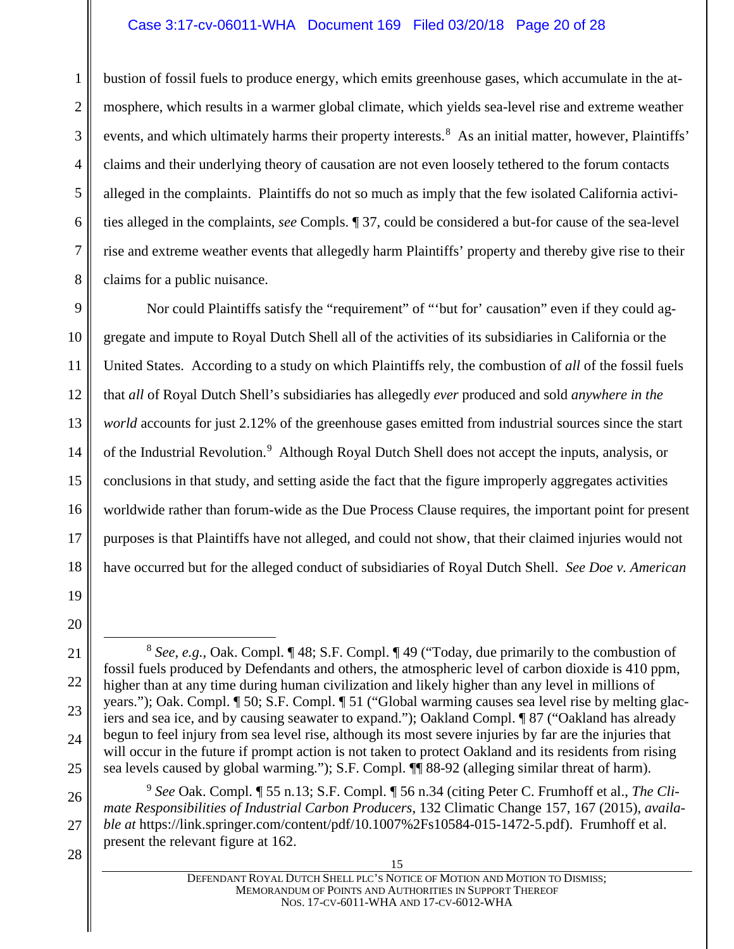### Case 3:17-cv-06011-WHA Document 169 Filed 03/20/18 Page 20 of 28

1 2 3 4 5 6 7 8 bustion of fossil fuels to produce energy, which emits greenhouse gases, which accumulate in the atmosphere, which results in a warmer global climate, which yields sea-level rise and extreme weather events, and which ultimately harms their property interests.<sup>[8](#page-19-0)</sup> As an initial matter, however, Plaintiffs' claims and their underlying theory of causation are not even loosely tethered to the forum contacts alleged in the complaints. Plaintiffs do not so much as imply that the few isolated California activities alleged in the complaints, *see* Compls. ¶ 37, could be considered a but-for cause of the sea-level rise and extreme weather events that allegedly harm Plaintiffs' property and thereby give rise to their claims for a public nuisance.

9 10 11 12 13 14 15 16 17 18 Nor could Plaintiffs satisfy the "requirement" of "'but for' causation" even if they could aggregate and impute to Royal Dutch Shell all of the activities of its subsidiaries in California or the United States. According to a study on which Plaintiffs rely, the combustion of *all* of the fossil fuels that *all* of Royal Dutch Shell's subsidiaries has allegedly *ever* produced and sold *anywhere in the world* accounts for just 2.12% of the greenhouse gases emitted from industrial sources since the start of the Industrial Revolution.<sup>[9](#page-19-1)</sup> Although Royal Dutch Shell does not accept the inputs, analysis, or conclusions in that study, and setting aside the fact that the figure improperly aggregates activities worldwide rather than forum-wide as the Due Process Clause requires, the important point for present purposes is that Plaintiffs have not alleged, and could not show, that their claimed injuries would not have occurred but for the alleged conduct of subsidiaries of Royal Dutch Shell. *See Doe v. American* 

19 20

<span id="page-19-0"></span>21

22

23

24

25

<span id="page-19-1"></span>26 27 <sup>9</sup> *See* Oak. Compl. ¶ 55 n.13; S.F. Compl. ¶ 56 n.34 (citing Peter C. Frumhoff et al., *The Climate Responsibilities of Industrial Carbon Producers*, 132 Climatic Change 157, 167 (2015), *available at* https://link.springer.com/content/pdf/10.1007%2Fs10584-015-1472-5.pdf). Frumhoff et al. present the relevant figure at 162.

28

 <sup>8</sup> *See*, *e.g.*, Oak. Compl. ¶ 48; S.F. Compl. ¶ 49 ("Today, due primarily to the combustion of fossil fuels produced by Defendants and others, the atmospheric level of carbon dioxide is 410 ppm, higher than at any time during human civilization and likely higher than any level in millions of years."); Oak. Compl. ¶ 50; S.F. Compl. ¶ 51 ("Global warming causes sea level rise by melting glaciers and sea ice, and by causing seawater to expand."); Oakland Compl. ¶ 87 ("Oakland has already begun to feel injury from sea level rise, although its most severe injuries by far are the injuries that will occur in the future if prompt action is not taken to protect Oakland and its residents from rising sea levels caused by global warming."); S.F. Compl. ¶¶ 88-92 (alleging similar threat of harm).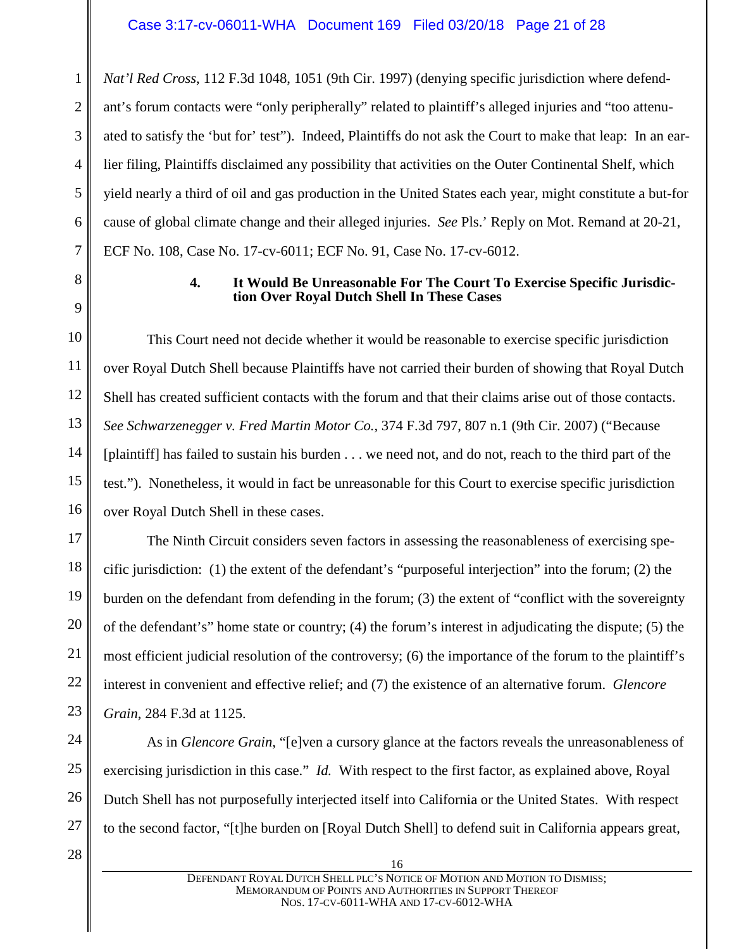2 *Nat'l Red Cross*, 112 F.3d 1048, 1051 (9th Cir. 1997) (denying specific jurisdiction where defendant's forum contacts were "only peripherally" related to plaintiff's alleged injuries and "too attenuated to satisfy the 'but for' test"). Indeed, Plaintiffs do not ask the Court to make that leap: In an earlier filing, Plaintiffs disclaimed any possibility that activities on the Outer Continental Shelf, which yield nearly a third of oil and gas production in the United States each year, might constitute a but-for cause of global climate change and their alleged injuries. *See* Pls.' Reply on Mot. Remand at 20-21, ECF No. 108, Case No. 17-cv-6011; ECF No. 91, Case No. 17-cv-6012.

> **4. It Would Be Unreasonable For The Court To Exercise Specific Jurisdiction Over Royal Dutch Shell In These Cases**

This Court need not decide whether it would be reasonable to exercise specific jurisdiction over Royal Dutch Shell because Plaintiffs have not carried their burden of showing that Royal Dutch Shell has created sufficient contacts with the forum and that their claims arise out of those contacts. *See Schwarzenegger v. Fred Martin Motor Co.*, 374 F.3d 797, 807 n.1 (9th Cir. 2007) ("Because [plaintiff] has failed to sustain his burden . . . we need not, and do not, reach to the third part of the test."). Nonetheless, it would in fact be unreasonable for this Court to exercise specific jurisdiction over Royal Dutch Shell in these cases.

The Ninth Circuit considers seven factors in assessing the reasonableness of exercising specific jurisdiction: (1) the extent of the defendant's "purposeful interjection" into the forum; (2) the burden on the defendant from defending in the forum; (3) the extent of "conflict with the sovereignty of the defendant's" home state or country; (4) the forum's interest in adjudicating the dispute; (5) the most efficient judicial resolution of the controversy; (6) the importance of the forum to the plaintiff's interest in convenient and effective relief; and (7) the existence of an alternative forum. *Glencore Grain*, 284 F.3d at 1125.

As in *Glencore Grain*, "[e]ven a cursory glance at the factors reveals the unreasonableness of exercising jurisdiction in this case." *Id.* With respect to the first factor, as explained above, Royal Dutch Shell has not purposefully interjected itself into California or the United States. With respect to the second factor, "[t]he burden on [Royal Dutch Shell] to defend suit in California appears great,

28

1

3

4

5

6

7

<span id="page-20-0"></span>8

9

10

11

12

13

14

15

16

17

18

19

20

21

22

23

24

25

26

27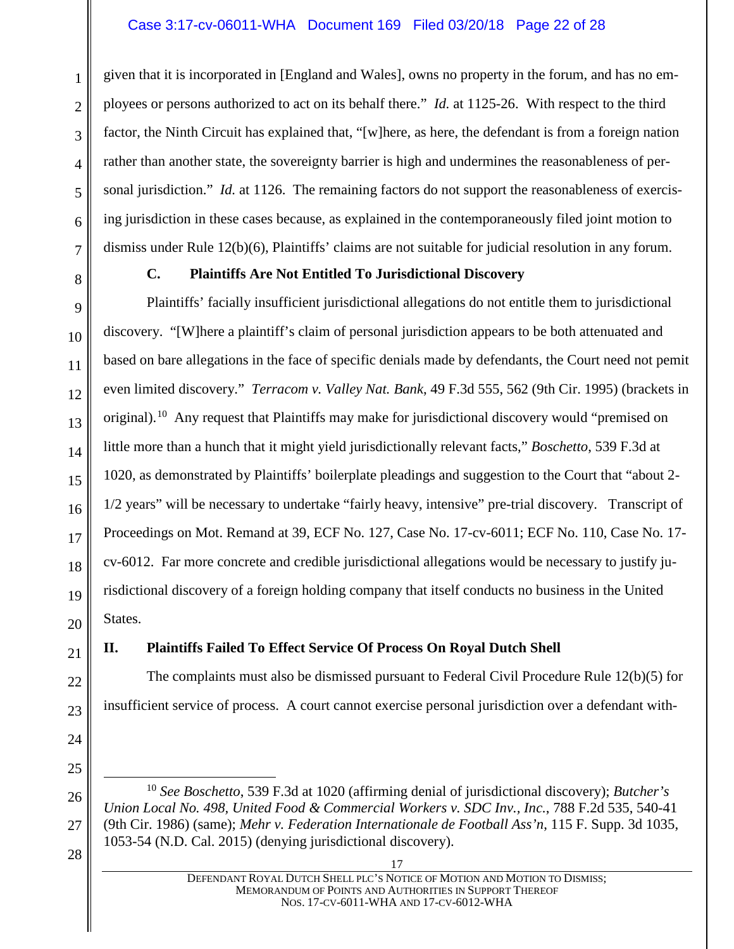### Case 3:17-cv-06011-WHA Document 169 Filed 03/20/18 Page 22 of 28

given that it is incorporated in [England and Wales], owns no property in the forum, and has no employees or persons authorized to act on its behalf there." *Id.* at 1125-26. With respect to the third factor, the Ninth Circuit has explained that, "[w]here, as here, the defendant is from a foreign nation rather than another state, the sovereignty barrier is high and undermines the reasonableness of personal jurisdiction." *Id.* at 1126. The remaining factors do not support the reasonableness of exercising jurisdiction in these cases because, as explained in the contemporaneously filed joint motion to dismiss under Rule 12(b)(6), Plaintiffs' claims are not suitable for judicial resolution in any forum.

<span id="page-21-0"></span>

1

2

3

4

5

6

7

8

9

10

11

12

13

14

15

16

17

18

19

20

21

22

23

24

25

<span id="page-21-2"></span>26

27

#### **C. Plaintiffs Are Not Entitled To Jurisdictional Discovery**

Plaintiffs' facially insufficient jurisdictional allegations do not entitle them to jurisdictional discovery. "[W]here a plaintiff's claim of personal jurisdiction appears to be both attenuated and based on bare allegations in the face of specific denials made by defendants, the Court need not pemit even limited discovery." *Terracom v. Valley Nat. Bank*, 49 F.3d 555, 562 (9th Cir. 1995) (brackets in original).[10](#page-21-2) Any request that Plaintiffs may make for jurisdictional discovery would "premised on little more than a hunch that it might yield jurisdictionally relevant facts," *Boschetto*, 539 F.3d at 1020, as demonstrated by Plaintiffs' boilerplate pleadings and suggestion to the Court that "about 2- 1/2 years" will be necessary to undertake "fairly heavy, intensive" pre-trial discovery. Transcript of Proceedings on Mot. Remand at 39, ECF No. 127, Case No. 17-cv-6011; ECF No. 110, Case No. 17 cv-6012. Far more concrete and credible jurisdictional allegations would be necessary to justify jurisdictional discovery of a foreign holding company that itself conducts no business in the United States.

# <span id="page-21-1"></span>**II. Plaintiffs Failed To Effect Service Of Process On Royal Dutch Shell**

The complaints must also be dismissed pursuant to Federal Civil Procedure Rule 12(b)(5) for insufficient service of process. A court cannot exercise personal jurisdiction over a defendant with-

- 10 *See Boschetto*, 539 F.3d at 1020 (affirming denial of jurisdictional discovery); *Butcher's Union Local No. 498, United Food & Commercial Workers v. SDC Inv., Inc.*, 788 F.2d 535, 540-41 (9th Cir. 1986) (same); *Mehr v. Federation Internationale de Football Ass'n*, 115 F. Supp. 3d 1035, 1053-54 (N.D. Cal. 2015) (denying jurisdictional discovery).
- 28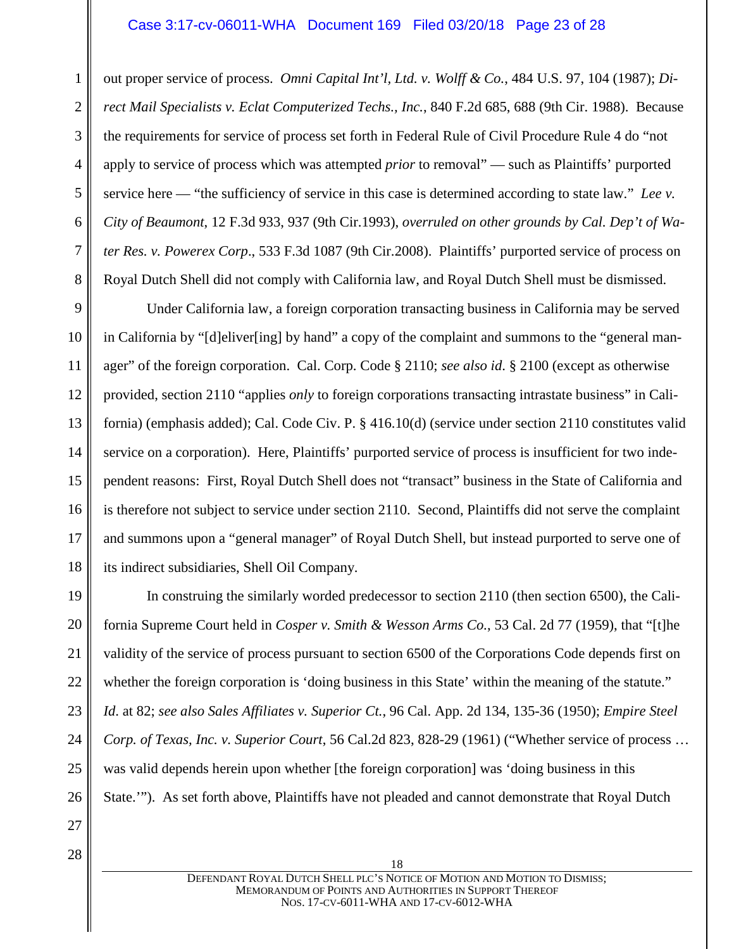#### Case 3:17-cv-06011-WHA Document 169 Filed 03/20/18 Page 23 of 28

out proper service of process. *Omni Capital Int'l, Ltd. v. Wolff & Co.*, 484 U.S. 97, 104 (1987); *Direct Mail Specialists v. Eclat Computerized Techs., Inc.*, 840 F.2d 685, 688 (9th Cir. 1988). Because the requirements for service of process set forth in Federal Rule of Civil Procedure Rule 4 do "not apply to service of process which was attempted *prior* to removal" — such as Plaintiffs' purported service here — "the sufficiency of service in this case is determined according to state law." *Lee v. City of Beaumont*, 12 F.3d 933, 937 (9th Cir.1993), *overruled on other grounds by Cal. Dep't of Water Res. v. Powerex Corp*., 533 F.3d 1087 (9th Cir.2008). Plaintiffs' purported service of process on Royal Dutch Shell did not comply with California law, and Royal Dutch Shell must be dismissed.

9 10 11 12 13 14 15 16 17 18 Under California law, a foreign corporation transacting business in California may be served in California by "[d]eliver[ing] by hand" a copy of the complaint and summons to the "general manager" of the foreign corporation. Cal. Corp. Code § 2110; *see also id*. § 2100 (except as otherwise provided, section 2110 "applies *only* to foreign corporations transacting intrastate business" in California) (emphasis added); Cal. Code Civ. P. § 416.10(d) (service under section 2110 constitutes valid service on a corporation). Here, Plaintiffs' purported service of process is insufficient for two independent reasons: First, Royal Dutch Shell does not "transact" business in the State of California and is therefore not subject to service under section 2110. Second, Plaintiffs did not serve the complaint and summons upon a "general manager" of Royal Dutch Shell, but instead purported to serve one of its indirect subsidiaries, Shell Oil Company.

19 20 21 22 23 24 25 26 In construing the similarly worded predecessor to section 2110 (then section 6500), the California Supreme Court held in *Cosper v. Smith & Wesson Arms Co.*, 53 Cal. 2d 77 (1959), that "[t]he validity of the service of process pursuant to section 6500 of the Corporations Code depends first on whether the foreign corporation is 'doing business in this State' within the meaning of the statute." *Id*. at 82; *see also Sales Affiliates v. Superior Ct.*, 96 Cal. App. 2d 134, 135-36 (1950); *Empire Steel Corp. of Texas, Inc. v. Superior Court*, 56 Cal.2d 823, 828-29 (1961) ("Whether service of process … was valid depends herein upon whether [the foreign corporation] was 'doing business in this State.'"). As set forth above, Plaintiffs have not pleaded and cannot demonstrate that Royal Dutch

27 28

1

2

3

4

5

6

7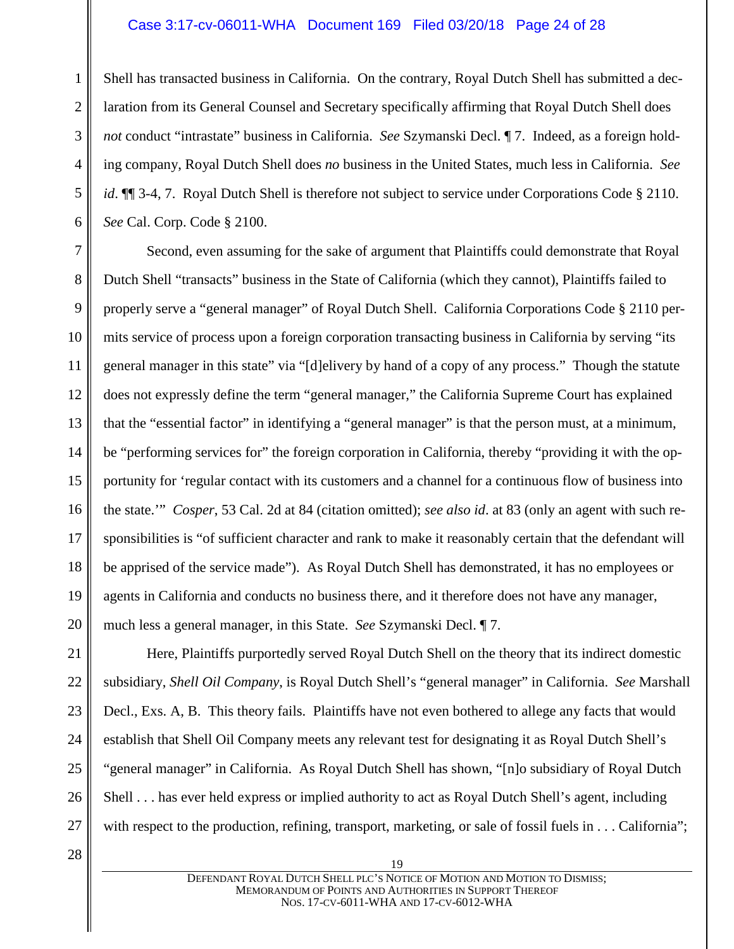# Case 3:17-cv-06011-WHA Document 169 Filed 03/20/18 Page 24 of 28

1 2 3 4 5 6 Shell has transacted business in California. On the contrary, Royal Dutch Shell has submitted a declaration from its General Counsel and Secretary specifically affirming that Royal Dutch Shell does *not* conduct "intrastate" business in California. *See* Szymanski Decl. ¶ 7. Indeed, as a foreign holding company, Royal Dutch Shell does *no* business in the United States, much less in California. *See id*. ¶ 3-4, 7. Royal Dutch Shell is therefore not subject to service under Corporations Code § 2110. *See* Cal. Corp. Code § 2100.

7 8 9 10 11 12 13 14 15 16 17 18 19 20 Second, even assuming for the sake of argument that Plaintiffs could demonstrate that Royal Dutch Shell "transacts" business in the State of California (which they cannot), Plaintiffs failed to properly serve a "general manager" of Royal Dutch Shell. California Corporations Code § 2110 permits service of process upon a foreign corporation transacting business in California by serving "its general manager in this state" via "[d]elivery by hand of a copy of any process." Though the statute does not expressly define the term "general manager," the California Supreme Court has explained that the "essential factor" in identifying a "general manager" is that the person must, at a minimum, be "performing services for" the foreign corporation in California, thereby "providing it with the opportunity for 'regular contact with its customers and a channel for a continuous flow of business into the state.'" *Cosper*, 53 Cal. 2d at 84 (citation omitted); *see also id*. at 83 (only an agent with such responsibilities is "of sufficient character and rank to make it reasonably certain that the defendant will be apprised of the service made"). As Royal Dutch Shell has demonstrated, it has no employees or agents in California and conducts no business there, and it therefore does not have any manager, much less a general manager, in this State. *See* Szymanski Decl. ¶ 7.

Here, Plaintiffs purportedly served Royal Dutch Shell on the theory that its indirect domestic subsidiary, *Shell Oil Company*, is Royal Dutch Shell's "general manager" in California. *See* Marshall Decl., Exs. A, B. This theory fails. Plaintiffs have not even bothered to allege any facts that would establish that Shell Oil Company meets any relevant test for designating it as Royal Dutch Shell's "general manager" in California. As Royal Dutch Shell has shown, "[n]o subsidiary of Royal Dutch Shell . . . has ever held express or implied authority to act as Royal Dutch Shell's agent, including with respect to the production, refining, transport, marketing, or sale of fossil fuels in . . . California";

28

27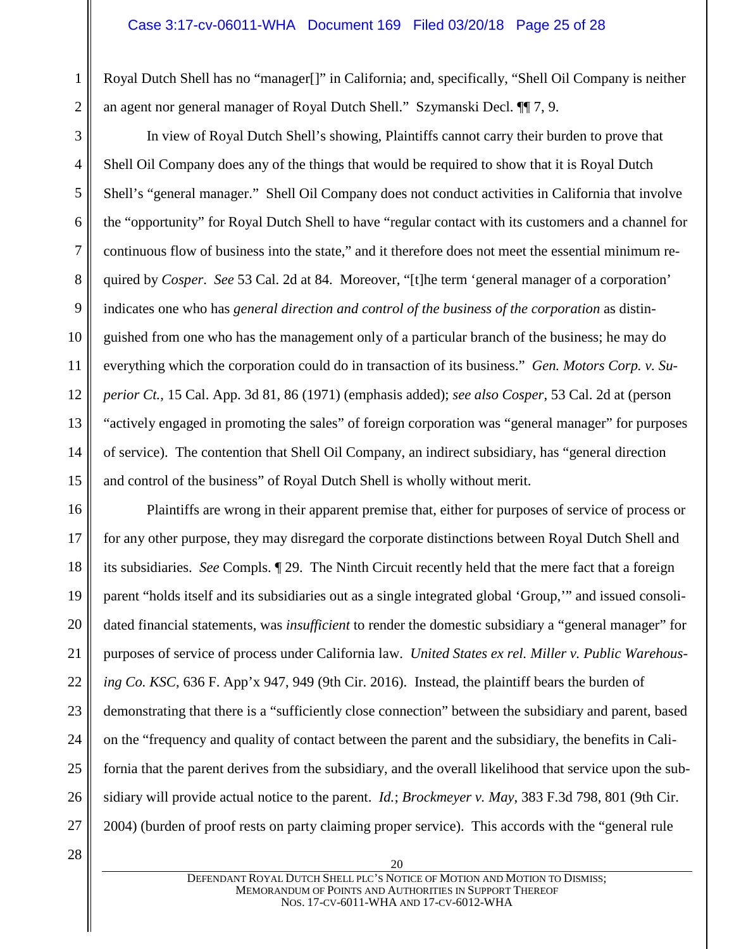# Case 3:17-cv-06011-WHA Document 169 Filed 03/20/18 Page 25 of 28

Royal Dutch Shell has no "manager[]" in California; and, specifically, "Shell Oil Company is neither an agent nor general manager of Royal Dutch Shell." Szymanski Decl. ¶¶ 7, 9.

In view of Royal Dutch Shell's showing, Plaintiffs cannot carry their burden to prove that Shell Oil Company does any of the things that would be required to show that it is Royal Dutch Shell's "general manager." Shell Oil Company does not conduct activities in California that involve the "opportunity" for Royal Dutch Shell to have "regular contact with its customers and a channel for continuous flow of business into the state," and it therefore does not meet the essential minimum required by *Cosper*. *See* 53 Cal. 2d at 84. Moreover, "[t]he term 'general manager of a corporation' indicates one who has *general direction and control of the business of the corporation* as distinguished from one who has the management only of a particular branch of the business; he may do everything which the corporation could do in transaction of its business." *Gen. Motors Corp. v. Superior Ct.*, 15 Cal. App. 3d 81, 86 (1971) (emphasis added); *see also Cosper*, 53 Cal. 2d at (person "actively engaged in promoting the sales" of foreign corporation was "general manager" for purposes of service). The contention that Shell Oil Company, an indirect subsidiary, has "general direction and control of the business" of Royal Dutch Shell is wholly without merit.

16 17 18 19 20 21 22 23 24 25 26 27 Plaintiffs are wrong in their apparent premise that, either for purposes of service of process or for any other purpose, they may disregard the corporate distinctions between Royal Dutch Shell and its subsidiaries. *See* Compls. ¶ 29. The Ninth Circuit recently held that the mere fact that a foreign parent "holds itself and its subsidiaries out as a single integrated global 'Group,'" and issued consolidated financial statements, was *insufficient* to render the domestic subsidiary a "general manager" for purposes of service of process under California law. *United States ex rel. Miller v. Public Warehousing Co. KSC*, 636 F. App'x 947, 949 (9th Cir. 2016). Instead, the plaintiff bears the burden of demonstrating that there is a "sufficiently close connection" between the subsidiary and parent, based on the "frequency and quality of contact between the parent and the subsidiary, the benefits in California that the parent derives from the subsidiary, and the overall likelihood that service upon the subsidiary will provide actual notice to the parent. *Id.*; *Brockmeyer v. May*, 383 F.3d 798, 801 (9th Cir. 2004) (burden of proof rests on party claiming proper service). This accords with the "general rule

28

1

2

3

4

5

6

7

8

9

10

11

12

13

14

15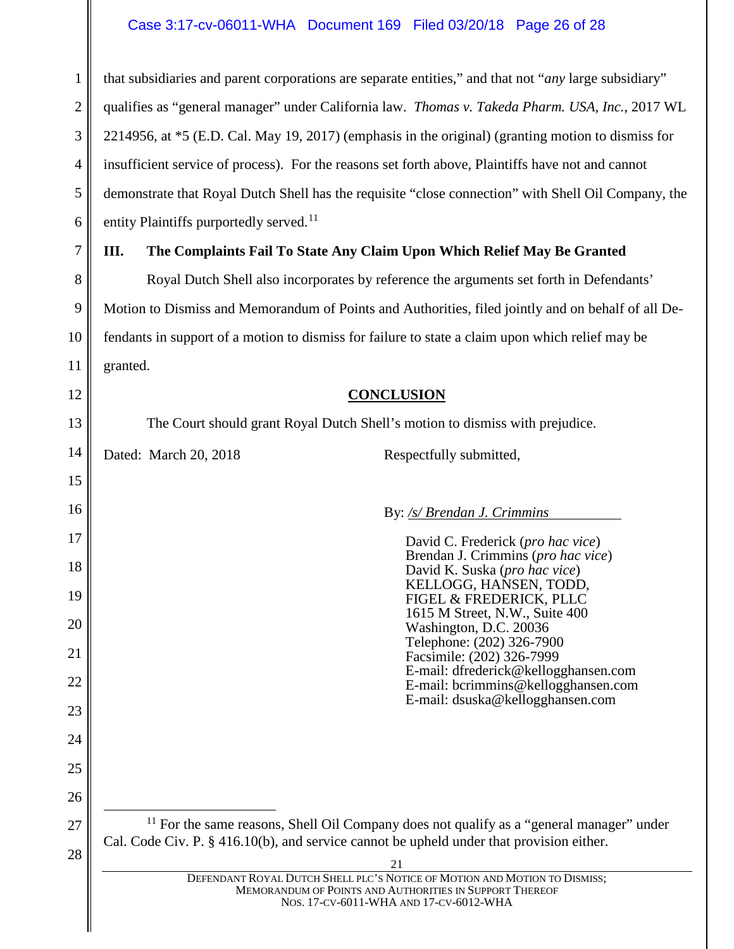#### Case 3:17-cv-06011-WHA Document 169 Filed 03/20/18 Page 26 of 28

1 2 3 4 5 6 that subsidiaries and parent corporations are separate entities," and that not "*any* large subsidiary" qualifies as "general manager" under California law. *Thomas v. Takeda Pharm. USA, Inc.*, 2017 WL 2214956, at \*5 (E.D. Cal. May 19, 2017) (emphasis in the original) (granting motion to dismiss for insufficient service of process). For the reasons set forth above, Plaintiffs have not and cannot demonstrate that Royal Dutch Shell has the requisite "close connection" with Shell Oil Company, the entity Plaintiffs purportedly served. $11$ 

#### 7

8

9

10

11

<span id="page-25-1"></span>12

13

15

16

17

18

19

20

21

22

23

24

25

26

<span id="page-25-2"></span>27

28

# <span id="page-25-0"></span>**III. The Complaints Fail To State Any Claim Upon Which Relief May Be Granted**

Royal Dutch Shell also incorporates by reference the arguments set forth in Defendants' Motion to Dismiss and Memorandum of Points and Authorities, filed jointly and on behalf of all Defendants in support of a motion to dismiss for failure to state a claim upon which relief may be granted.

### **CONCLUSION**

The Court should grant Royal Dutch Shell's motion to dismiss with prejudice.

14 Dated: March 20, 2018 Respectfully submitted,

### By: */s/ Brendan J. Crimmins*

| David C. Frederick (pro hac vice)    |
|--------------------------------------|
| Brendan J. Crimmins (pro hac vice)   |
| David K. Suska (pro hac vice)        |
| KELLOGG, HANSEN, TODD,               |
| FIGEL & FREDERICK, PLLC              |
| 1615 M Street, N.W., Suite 400       |
| Washington, D.C. 20036               |
| Telephone: (202) 326-7900            |
| Facsimile: (202) 326-7999            |
| E-mail: dfrederick@kellogghansen.com |
| E-mail: bcrimmins@kellogghansen.com  |
| E-mail: dsuska@kellogghansen.com     |
|                                      |
|                                      |
|                                      |
|                                      |
|                                      |
|                                      |
|                                      |
|                                      |

 $11$  For the same reasons, Shell Oil Company does not qualify as a "general manager" under Cal. Code Civ. P. § 416.10(b), and service cannot be upheld under that provision either.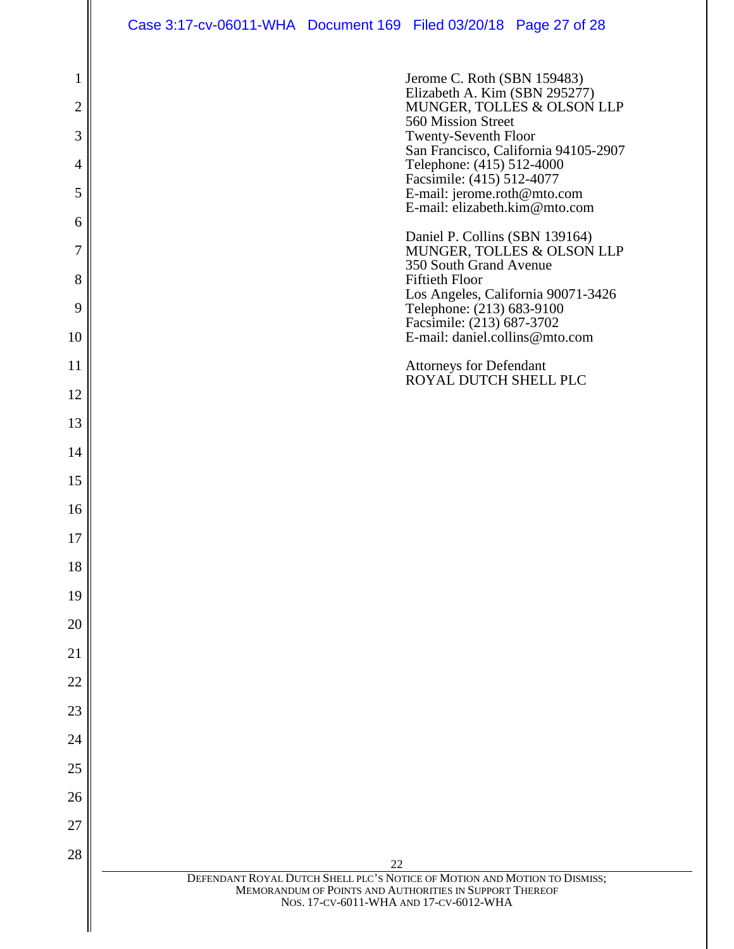Case 3:17-cv-06011-WHA Document 169 Filed 03/20/18 Page 27 of 28

| 1<br>$\overline{2}$<br>3<br>4<br>5<br>6<br>7<br>8<br>9<br>10<br>11<br>12<br>13 | Jerome C. Roth (SBN 159483)<br>Elizabeth A. Kim (SBN 295277)<br>MUNGER, TOLLES & OLSON LLP<br>560 Mission Street<br><b>Twenty-Seventh Floor</b><br>San Francisco, California 94105-2907<br>Telephone: (415) 512-4000<br>Facsimile: (415) 512-4077<br>E-mail: jerome.roth@mto.com<br>E-mail: elizabeth.kim@mto.com<br>Daniel P. Collins (SBN 139164)<br>MUNGER, TOLLES & OLSON LLP<br>350 South Grand Avenue<br><b>Fiftieth Floor</b><br>Los Angeles, California 90071-3426<br>Telephone: (213) 683-9100<br>Facsimile: (213) 687-3702<br>E-mail: daniel.collins@mto.com<br>Attorneys for Defendant<br>ROYAL DUTCH SHELL PLC |
|--------------------------------------------------------------------------------|----------------------------------------------------------------------------------------------------------------------------------------------------------------------------------------------------------------------------------------------------------------------------------------------------------------------------------------------------------------------------------------------------------------------------------------------------------------------------------------------------------------------------------------------------------------------------------------------------------------------------|
|                                                                                |                                                                                                                                                                                                                                                                                                                                                                                                                                                                                                                                                                                                                            |
| 14<br>15                                                                       |                                                                                                                                                                                                                                                                                                                                                                                                                                                                                                                                                                                                                            |
| 16                                                                             |                                                                                                                                                                                                                                                                                                                                                                                                                                                                                                                                                                                                                            |
| 17                                                                             |                                                                                                                                                                                                                                                                                                                                                                                                                                                                                                                                                                                                                            |
| 18                                                                             |                                                                                                                                                                                                                                                                                                                                                                                                                                                                                                                                                                                                                            |
| 19                                                                             |                                                                                                                                                                                                                                                                                                                                                                                                                                                                                                                                                                                                                            |
| 20                                                                             |                                                                                                                                                                                                                                                                                                                                                                                                                                                                                                                                                                                                                            |
| 21                                                                             |                                                                                                                                                                                                                                                                                                                                                                                                                                                                                                                                                                                                                            |
| 22                                                                             |                                                                                                                                                                                                                                                                                                                                                                                                                                                                                                                                                                                                                            |
| 23                                                                             |                                                                                                                                                                                                                                                                                                                                                                                                                                                                                                                                                                                                                            |
| 24                                                                             |                                                                                                                                                                                                                                                                                                                                                                                                                                                                                                                                                                                                                            |
| 25                                                                             |                                                                                                                                                                                                                                                                                                                                                                                                                                                                                                                                                                                                                            |
| 26                                                                             |                                                                                                                                                                                                                                                                                                                                                                                                                                                                                                                                                                                                                            |
| 27                                                                             |                                                                                                                                                                                                                                                                                                                                                                                                                                                                                                                                                                                                                            |
| 28                                                                             | 22                                                                                                                                                                                                                                                                                                                                                                                                                                                                                                                                                                                                                         |
|                                                                                | DEFENDANT ROYAL DUTCH SHELL PLC'S NOTICE OF MOTION AND MOTION TO DISMISS;<br>MEMORANDUM OF POINTS AND AUTHORITIES IN SUPPORT THEREOF<br>NOS. 17-CV-6011-WHA AND 17-CV-6012-WHA                                                                                                                                                                                                                                                                                                                                                                                                                                             |